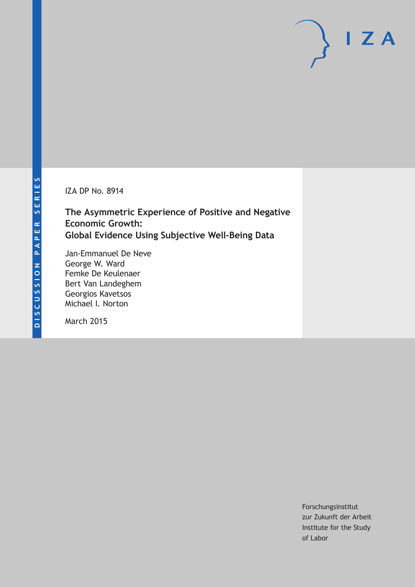IZA DP No. 8914

**The Asymmetric Experience of Positive and Negative Economic Growth: Global Evidence Using Subjective Well-Being Data**

Jan-Emmanuel De Neve George W. Ward Femke De Keulenaer Bert Van Landeghem Georgios Kavetsos Michael I. Norton

March 2015

Forschungsinstitut zur Zukunft der Arbeit Institute for the Study of Labor

 $I Z A$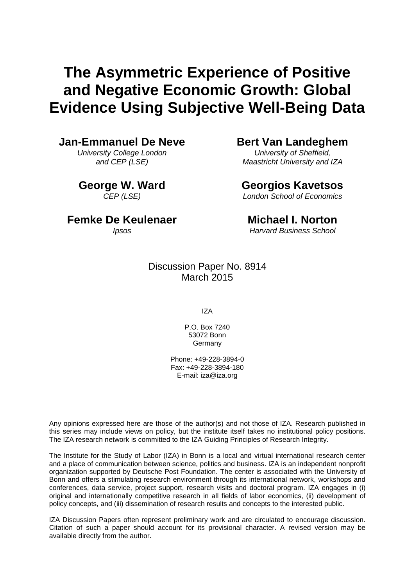# **The Asymmetric Experience of Positive and Negative Economic Growth: Global Evidence Using Subjective Well-Being Data**

### **Jan-Emmanuel De Neve**

*University College London and CEP (LSE)*

**George W. Ward** *CEP (LSE)*

### **Bert Van Landeghem**

*University of Sheffield, Maastricht University and IZA*

### **Georgios Kavetsos**

*London School of Economics*

### **Femke De Keulenaer**

*Ipsos*

### **Michael I. Norton**

*Harvard Business School*

### Discussion Paper No. 8914 March 2015

IZA

P.O. Box 7240 53072 Bonn **Germany** 

Phone: +49-228-3894-0 Fax: +49-228-3894-180 E-mail: iza@iza.org

Any opinions expressed here are those of the author(s) and not those of IZA. Research published in this series may include views on policy, but the institute itself takes no institutional policy positions. The IZA research network is committed to the IZA Guiding Principles of Research Integrity.

The Institute for the Study of Labor (IZA) in Bonn is a local and virtual international research center and a place of communication between science, politics and business. IZA is an independent nonprofit organization supported by Deutsche Post Foundation. The center is associated with the University of Bonn and offers a stimulating research environment through its international network, workshops and conferences, data service, project support, research visits and doctoral program. IZA engages in (i) original and internationally competitive research in all fields of labor economics, (ii) development of policy concepts, and (iii) dissemination of research results and concepts to the interested public.

<span id="page-1-0"></span>IZA Discussion Papers often represent preliminary work and are circulated to encourage discussion. Citation of such a paper should account for its provisional character. A revised version may be available directly from the author.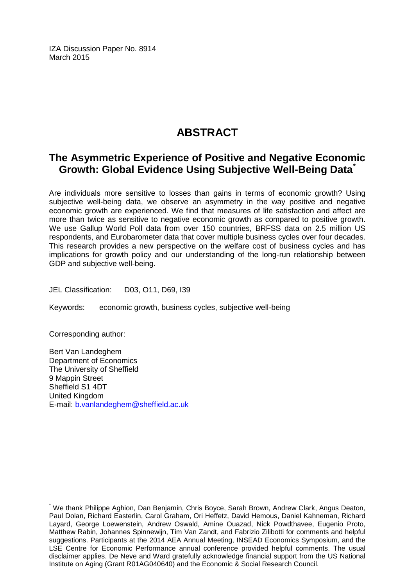IZA Discussion Paper No. 8914 March 2015

# **ABSTRACT**

# **The Asymmetric Experience of Positive and Negative Economic Growth: Global Evidence Using Subjective Well-Being Data[\\*](#page-1-0)**

Are individuals more sensitive to losses than gains in terms of economic growth? Using subjective well-being data, we observe an asymmetry in the way positive and negative economic growth are experienced. We find that measures of life satisfaction and affect are more than twice as sensitive to negative economic growth as compared to positive growth. We use Gallup World Poll data from over 150 countries, BRFSS data on 2.5 million US respondents, and Eurobarometer data that cover multiple business cycles over four decades. This research provides a new perspective on the welfare cost of business cycles and has implications for growth policy and our understanding of the long-run relationship between GDP and subjective well-being.

JEL Classification: D03, O11, D69, I39

Keywords: economic growth, business cycles, subjective well-being

Corresponding author:

Bert Van Landeghem Department of Economics The University of Sheffield 9 Mappin Street Sheffield S1 4DT United Kingdom E-mail: [b.vanlandeghem@sheffield.ac.uk](mailto:b.vanlandeghem@sheffield.ac.uk)

\* We thank Philippe Aghion, Dan Benjamin, Chris Boyce, Sarah Brown, Andrew Clark, Angus Deaton, Paul Dolan, Richard Easterlin, Carol Graham, Ori Heffetz, David Hemous, Daniel Kahneman, Richard Layard, George Loewenstein, Andrew Oswald, Amine Ouazad, Nick Powdthavee, Eugenio Proto, Matthew Rabin, Johannes Spinnewijn, Tim Van Zandt, and Fabrizio Zilibotti for comments and helpful suggestions. Participants at the 2014 AEA Annual Meeting, INSEAD Economics Symposium, and the LSE Centre for Economic Performance annual conference provided helpful comments. The usual disclaimer applies. De Neve and Ward gratefully acknowledge financial support from the US National Institute on Aging (Grant R01AG040640) and the Economic & Social Research Council.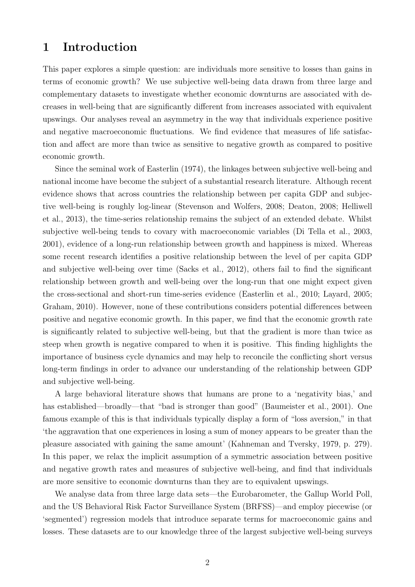# 1 Introduction

This paper explores a simple question: are individuals more sensitive to losses than gains in terms of economic growth? We use subjective well-being data drawn from three large and complementary datasets to investigate whether economic downturns are associated with decreases in well-being that are significantly different from increases associated with equivalent upswings. Our analyses reveal an asymmetry in the way that individuals experience positive and negative macroeconomic fluctuations. We find evidence that measures of life satisfaction and affect are more than twice as sensitive to negative growth as compared to positive economic growth.

Since the seminal work of [Easterlin](#page-27-0) [\(1974\)](#page-27-0), the linkages between subjective well-being and national income have become the subject of a substantial research literature. Although recent evidence shows that across countries the relationship between per capita GDP and subjective well-being is roughly log-linear [\(Stevenson and Wolfers,](#page-29-0) [2008;](#page-29-0) [Deaton,](#page-26-0) [2008;](#page-26-0) [Helliwell](#page-28-0) [et al.,](#page-28-0) [2013\)](#page-28-0), the time-series relationship remains the subject of an extended debate. Whilst subjective well-being tends to covary with macroeconomic variables [\(Di Tella et al.,](#page-27-1) [2003,](#page-27-1) [2001\)](#page-27-2), evidence of a long-run relationship between growth and happiness is mixed. Whereas some recent research identifies a positive relationship between the level of per capita GDP and subjective well-being over time [\(Sacks et al.,](#page-29-1) [2012\)](#page-29-1), others fail to find the significant relationship between growth and well-being over the long-run that one might expect given the cross-sectional and short-run time-series evidence [\(Easterlin et al.,](#page-27-3) [2010;](#page-27-3) [Layard,](#page-28-1) [2005;](#page-28-1) [Graham,](#page-27-4) [2010\)](#page-27-4). However, none of these contributions considers potential differences between positive and negative economic growth. In this paper, we find that the economic growth rate is significantly related to subjective well-being, but that the gradient is more than twice as steep when growth is negative compared to when it is positive. This finding highlights the importance of business cycle dynamics and may help to reconcile the conflicting short versus long-term findings in order to advance our understanding of the relationship between GDP and subjective well-being.

A large behavioral literature shows that humans are prone to a 'negativity bias,' and has established—broadly—that "bad is stronger than good" [\(Baumeister et al.,](#page-25-0) [2001\)](#page-25-0). One famous example of this is that individuals typically display a form of "loss aversion," in that 'the aggravation that one experiences in losing a sum of money appears to be greater than the pleasure associated with gaining the same amount' [\(Kahneman and Tversky,](#page-28-2) [1979,](#page-28-2) p. 279). In this paper, we relax the implicit assumption of a symmetric association between positive and negative growth rates and measures of subjective well-being, and find that individuals are more sensitive to economic downturns than they are to equivalent upswings.

We analyse data from three large data sets—the Eurobarometer, the Gallup World Poll, and the US Behavioral Risk Factor Surveillance System (BRFSS)—and employ piecewise (or 'segmented') regression models that introduce separate terms for macroeconomic gains and losses. These datasets are to our knowledge three of the largest subjective well-being surveys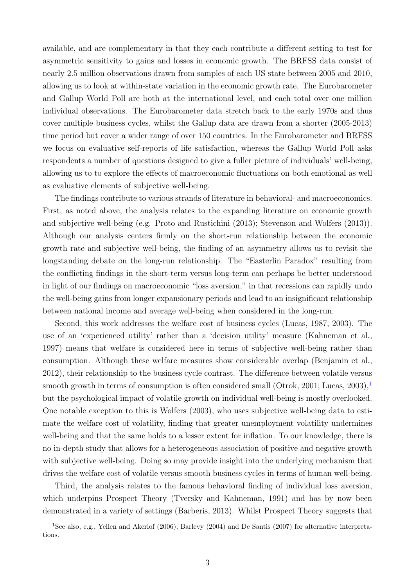available, and are complementary in that they each contribute a different setting to test for asymmetric sensitivity to gains and losses in economic growth. The BRFSS data consist of nearly 2.5 million observations drawn from samples of each US state between 2005 and 2010, allowing us to look at within-state variation in the economic growth rate. The Eurobarometer and Gallup World Poll are both at the international level, and each total over one million individual observations. The Eurobarometer data stretch back to the early 1970s and thus cover multiple business cycles, whilst the Gallup data are drawn from a shorter (2005-2013) time period but cover a wider range of over 150 countries. In the Eurobarometer and BRFSS we focus on evaluative self-reports of life satisfaction, whereas the Gallup World Poll asks respondents a number of questions designed to give a fuller picture of individuals' well-being, allowing us to to explore the effects of macroeconomic fluctuations on both emotional as well as evaluative elements of subjective well-being.

The findings contribute to various strands of literature in behavioral- and macroeconomics. First, as noted above, the analysis relates to the expanding literature on economic growth and subjective well-being (e.g. [Proto and Rustichini](#page-29-2) [\(2013\)](#page-29-2); [Stevenson and Wolfers](#page-29-3) [\(2013\)](#page-29-3)). Although our analysis centers firmly on the short-run relationship between the economic growth rate and subjective well-being, the finding of an asymmetry allows us to revisit the longstanding debate on the long-run relationship. The "Easterlin Paradox" resulting from the conflicting findings in the short-term versus long-term can perhaps be better understood in light of our findings on macroeconomic "loss aversion," in that recessions can rapidly undo the well-being gains from longer expansionary periods and lead to an insignificant relationship between national income and average well-being when considered in the long-run.

Second, this work addresses the welfare cost of business cycles [\(Lucas,](#page-28-3) [1987,](#page-28-3) [2003\)](#page-28-4). The use of an 'experienced utility' rather than a 'decision utility' measure [\(Kahneman et al.,](#page-28-5) [1997\)](#page-28-5) means that welfare is considered here in terms of subjective well-being rather than consumption. Although these welfare measures show considerable overlap [\(Benjamin et al.,](#page-25-1) [2012\)](#page-25-1), their relationship to the business cycle contrast. The difference between volatile versus smooth growth in terms of consumption is often considered small [\(Otrok,](#page-29-4) [2001;](#page-29-4) [Lucas,](#page-28-4) [2003\)](#page-28-4),  $\frac{1}{1}$  $\frac{1}{1}$  $\frac{1}{1}$ but the psychological impact of volatile growth on individual well-being is mostly overlooked. One notable exception to this is [Wolfers](#page-30-0) [\(2003\)](#page-30-0), who uses subjective well-being data to estimate the welfare cost of volatility, finding that greater unemployment volatility undermines well-being and that the same holds to a lesser extent for inflation. To our knowledge, there is no in-depth study that allows for a heterogeneous association of positive and negative growth with subjective well-being. Doing so may provide insight into the underlying mechanism that drives the welfare cost of volatile versus smooth business cycles in terms of human well-being.

Third, the analysis relates to the famous behavioral finding of individual loss aversion, which underpins Prospect Theory [\(Tversky and Kahneman,](#page-29-5) [1991\)](#page-29-5) and has by now been demonstrated in a variety of settings [\(Barberis,](#page-25-2) [2013\)](#page-25-2). Whilst Prospect Theory suggests that

<span id="page-4-0"></span><sup>1</sup>See also, e.g., [Yellen and Akerlof](#page-30-1) [\(2006\)](#page-30-1); [Barlevy](#page-25-3) [\(2004\)](#page-25-3) and [De Santis](#page-26-1) [\(2007\)](#page-26-1) for alternative interpretations.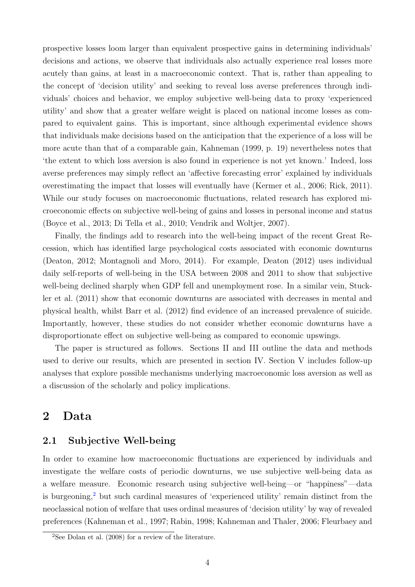prospective losses loom larger than equivalent prospective gains in determining individuals' decisions and actions, we observe that individuals also actually experience real losses more acutely than gains, at least in a macroeconomic context. That is, rather than appealing to the concept of 'decision utility' and seeking to reveal loss averse preferences through individuals' choices and behavior, we employ subjective well-being data to proxy 'experienced utility' and show that a greater welfare weight is placed on national income losses as compared to equivalent gains. This is important, since although experimental evidence shows that individuals make decisions based on the anticipation that the experience of a loss will be more acute than that of a comparable gain, [Kahneman](#page-28-6) [\(1999,](#page-28-6) p. 19) nevertheless notes that 'the extent to which loss aversion is also found in experience is not yet known.' Indeed, loss averse preferences may simply reflect an 'affective forecasting error' explained by individuals overestimating the impact that losses will eventually have [\(Kermer et al.,](#page-28-7) [2006;](#page-28-7) [Rick,](#page-29-6) [2011\)](#page-29-6). While our study focuses on macroeconomic fluctuations, related research has explored microeconomic effects on subjective well-being of gains and losses in personal income and status [\(Boyce et al.,](#page-26-2) [2013;](#page-26-2) [Di Tella et al.,](#page-27-5) [2010;](#page-27-5) [Vendrik and Woltjer,](#page-29-7) [2007\)](#page-29-7).

Finally, the findings add to research into the well-being impact of the recent Great Recession, which has identified large psychological costs associated with economic downturns [\(Deaton,](#page-26-3) [2012;](#page-26-3) [Montagnoli and Moro,](#page-28-8) [2014\)](#page-28-8). For example, [Deaton](#page-26-3) [\(2012\)](#page-26-3) uses individual daily self-reports of well-being in the USA between 2008 and 2011 to show that subjective well-being declined sharply when GDP fell and unemployment rose. In a similar vein, [Stuck](#page-29-8)[ler et al.](#page-29-8) [\(2011\)](#page-29-8) show that economic downturns are associated with decreases in mental and physical health, whilst [Barr et al.](#page-25-4) [\(2012\)](#page-25-4) find evidence of an increased prevalence of suicide. Importantly, however, these studies do not consider whether economic downturns have a disproportionate effect on subjective well-being as compared to economic upswings.

The paper is structured as follows. Sections II and III outline the data and methods used to derive our results, which are presented in section IV. Section V includes follow-up analyses that explore possible mechanisms underlying macroeconomic loss aversion as well as a discussion of the scholarly and policy implications.

## 2 Data

### 2.1 Subjective Well-being

In order to examine how macroeconomic fluctuations are experienced by individuals and investigate the welfare costs of periodic downturns, we use subjective well-being data as a welfare measure. Economic research using subjective well-being—or "happiness"—data is burgeoning,<sup>[2](#page-5-0)</sup> but such cardinal measures of 'experienced utility' remain distinct from the neoclassical notion of welfare that uses ordinal measures of 'decision utility' by way of revealed preferences [\(Kahneman et al.,](#page-28-5) [1997;](#page-28-5) [Rabin,](#page-29-9) [1998;](#page-29-9) [Kahneman and Thaler,](#page-28-9) [2006;](#page-28-9) [Fleurbaey and](#page-27-6)

<span id="page-5-0"></span> $^{2}$ See [Dolan et al.](#page-27-7) [\(2008\) for a review of the literature.](#page-27-6)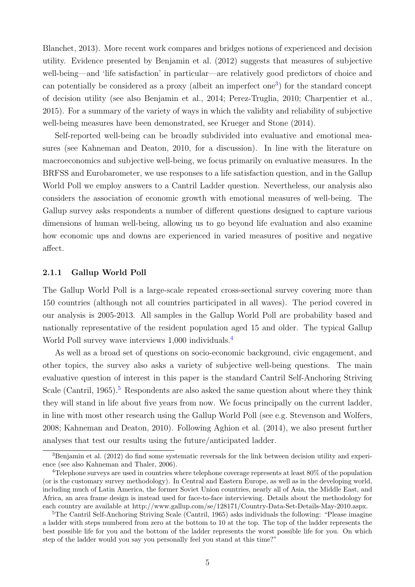[Blanchet,](#page-27-6) [2013\)](#page-27-6). More recent work compares and bridges notions of experienced and decision utility. Evidence presented by [Benjamin et al.](#page-25-1) [\(2012\)](#page-25-1) suggests that measures of subjective well-being—and 'life satisfaction' in particular—are relatively good predictors of choice and can potentially be considered as a proxy (albeit an imperfect one[3](#page-6-0) ) for the standard concept of decision utility (see also [Benjamin et al.,](#page-25-5) [2014;](#page-25-5) [Perez-Truglia,](#page-29-10) [2010;](#page-29-10) [Charpentier et al.,](#page-26-4) [2015\)](#page-26-4). For a summary of the variety of ways in which the validity and reliability of subjective well-being measures have been demonstrated, see [Krueger and Stone](#page-28-10) [\(2014\)](#page-28-10).

Self-reported well-being can be broadly subdivided into evaluative and emotional measures (see [Kahneman and Deaton,](#page-28-11) [2010,](#page-28-11) for a discussion). In line with the literature on macroeconomics and subjective well-being, we focus primarily on evaluative measures. In the BRFSS and Eurobarometer, we use responses to a life satisfaction question, and in the Gallup World Poll we employ answers to a Cantril Ladder question. Nevertheless, our analysis also considers the association of economic growth with emotional measures of well-being. The Gallup survey asks respondents a number of different questions designed to capture various dimensions of human well-being, allowing us to go beyond life evaluation and also examine how economic ups and downs are experienced in varied measures of positive and negative affect.

#### 2.1.1 Gallup World Poll

The Gallup World Poll is a large-scale repeated cross-sectional survey covering more than 150 countries (although not all countries participated in all waves). The period covered in our analysis is 2005-2013. All samples in the Gallup World Poll are probability based and nationally representative of the resident population aged 15 and older. The typical Gallup World Poll survey wave interviews 1,000 individuals.<sup>[4](#page-6-1)</sup>

As well as a broad set of questions on socio-economic background, civic engagement, and other topics, the survey also asks a variety of subjective well-being questions. The main evaluative question of interest in this paper is the standard Cantril Self-Anchoring Striving Scale [\(Cantril,](#page-26-5) [1965\)](#page-26-5).<sup>[5](#page-6-2)</sup> Respondents are also asked the same question about where they think they will stand in life about five years from now. We focus principally on the current ladder, in line with most other research using the Gallup World Poll (see e.g. [Stevenson and Wolfers,](#page-29-0) [2008;](#page-29-0) [Kahneman and Deaton,](#page-28-11) [2010\)](#page-28-11). Following [Aghion et al.](#page-25-6) [\(2014\)](#page-25-6), we also present further analyses that test our results using the future/anticipated ladder.

<span id="page-6-0"></span><sup>&</sup>lt;sup>3</sup>[Benjamin et al.](#page-25-1) [\(2012\)](#page-25-1) do find some systematic reversals for the link between decision utility and experience (see also [Kahneman and Thaler,](#page-28-9) [2006\)](#page-28-9).

<span id="page-6-1"></span><sup>&</sup>lt;sup>4</sup>Telephone surveys are used in countries where telephone coverage represents at least 80% of the population (or is the customary survey methodology). In Central and Eastern Europe, as well as in the developing world, including much of Latin America, the former Soviet Union countries, nearly all of Asia, the Middle East, and Africa, an area frame design is instead used for face-to-face interviewing. Details about the methodology for each country are available at http://www.gallup.com/se/128171/Country-Data-Set-Details-May-2010.aspx.

<span id="page-6-2"></span><sup>&</sup>lt;sup>5</sup>The Cantril Self-Anchoring Striving Scale [\(Cantril,](#page-26-5) [1965\)](#page-26-5) asks individuals the following: "Please imagine a ladder with steps numbered from zero at the bottom to 10 at the top. The top of the ladder represents the best possible life for you and the bottom of the ladder represents the worst possible life for you. On which step of the ladder would you say you personally feel you stand at this time?"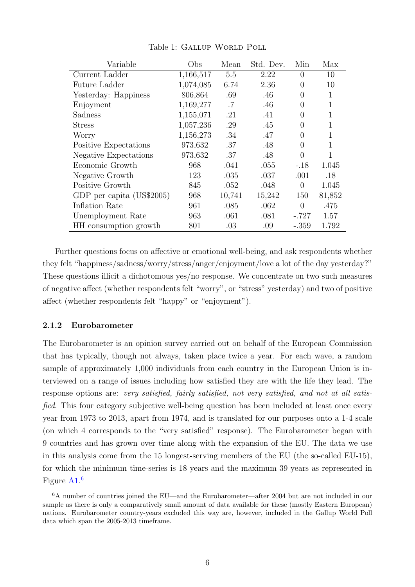| Variable                  | Obs       | Mean   | Std. Dev. | Min      | Max    |
|---------------------------|-----------|--------|-----------|----------|--------|
| Current Ladder            | 1,166,517 | 5.5    | 2.22      | $\Omega$ | 10     |
| Future Ladder             | 1,074,085 | 6.74   | 2.36      | $\Omega$ | 10     |
| Yesterday: Happiness      | 806,864   | .69    | .46       | 0        | 1      |
| Enjoyment                 | 1,169,277 | .7     | .46       | $\Omega$ | 1      |
| Sadness                   | 1,155,071 | .21    | .41       | 0        |        |
| <b>Stress</b>             | 1,057,236 | .29    | .45       | 0        | 1      |
| Worry                     | 1,156,273 | .34    | .47       | $\Omega$ | 1      |
| Positive Expectations     | 973,632   | .37    | .48       | 0        | 1      |
| Negative Expectations     | 973,632   | .37    | .48       | $\Omega$ | 1      |
| Economic Growth           | 968       | .041   | .055      | $-.18$   | 1.045  |
| Negative Growth           | 123       | .035   | .037      | .001     | .18    |
| Positive Growth           | 845       | .052   | .048      | $\Omega$ | 1.045  |
| GDP per capita (US\$2005) | 968       | 10,741 | 15,242    | 150      | 81,852 |
| Inflation Rate            | 961       | .085   | .062      | $\Omega$ | .475   |
| Unemployment Rate         | 963       | .061   | .081      | $-.727$  | 1.57   |
| HH consumption growth     | 801       | .03    | .09       | $-.359$  | 1.792  |

Table 1: GALLUP WORLD POLL

Further questions focus on affective or emotional well-being, and ask respondents whether they felt "happiness/sadness/worry/stress/anger/enjoyment/love a lot of the day yesterday?" These questions illicit a dichotomous yes/no response. We concentrate on two such measures of negative affect (whether respondents felt "worry", or "stress" yesterday) and two of positive affect (whether respondents felt "happy" or "enjoyment").

#### 2.1.2 Eurobarometer

The Eurobarometer is an opinion survey carried out on behalf of the European Commission that has typically, though not always, taken place twice a year. For each wave, a random sample of approximately 1,000 individuals from each country in the European Union is interviewed on a range of issues including how satisfied they are with the life they lead. The response options are: very satisfied, fairly satisfied, not very satisfied, and not at all satisfied. This four category subjective well-being question has been included at least once every year from 1973 to 2013, apart from 1974, and is translated for our purposes onto a 1-4 scale (on which 4 corresponds to the "very satisfied" response). The Eurobarometer began with 9 countries and has grown over time along with the expansion of the EU. The data we use in this analysis come from the 15 longest-serving members of the EU (the so-called EU-15), for which the minimum time-series is 18 years and the maximum 39 years as represented in Figure  $\rm A1.^6$  $\rm A1.^6$  $\rm A1.^6$  $\rm A1.^6$ 

<span id="page-7-0"></span><sup>6</sup>A number of countries joined the EU—and the Eurobarometer—after 2004 but are not included in our sample as there is only a comparatively small amount of data available for these (mostly Eastern European) nations. Eurobarometer country-years excluded this way are, however, included in the Gallup World Poll data which span the 2005-2013 timeframe.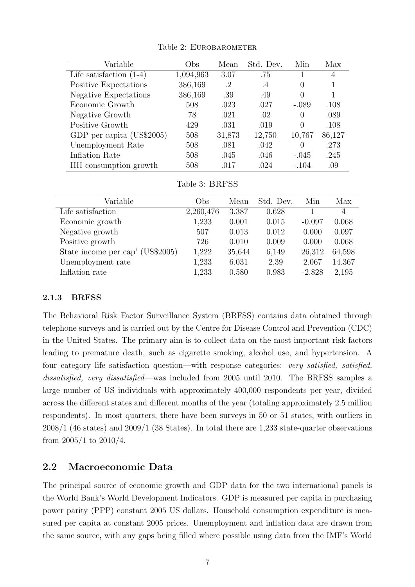| Variable                  | $_{\rm Obs}$ | Mean   | Std. Dev. | Min      | Max            |
|---------------------------|--------------|--------|-----------|----------|----------------|
| Life satisfaction $(1-4)$ | 1,094,963    | 3.07   | .75       |          | $\overline{4}$ |
| Positive Expectations     | 386,169      | .2     | $\cdot$ 4 | $\theta$ | 1              |
| Negative Expectations     | 386,169      | .39    | .49       | $\Omega$ |                |
| Economic Growth           | 508          | .023   | .027      | $-.089$  | .108           |
| Negative Growth           | 78           | .021   | .02       | $\Omega$ | .089           |
| Positive Growth           | 429          | .031   | .019      | $\Omega$ | .108           |
| GDP per capita (US\$2005) | 508          | 31,873 | 12,750    | 10,767   | 86,127         |
| Unemployment Rate         | 508          | .081   | .042      | $\Omega$ | .273           |
| Inflation Rate            | 508          | .045   | .046      | $-.045$  | .245           |
| HH consumption growth     | 508          | .017   | .024      | $-.104$  | .09            |

Table 2: EUROBAROMETER

|  | Table 3: BRFSS |
|--|----------------|
|  |                |

| Variable                         | Obs       | Mean   | Std. Dev. | Min      | Max            |
|----------------------------------|-----------|--------|-----------|----------|----------------|
| Life satisfaction                | 2,260,476 | 3.387  | 0.628     |          | $\overline{4}$ |
| Economic growth                  | 1,233     | 0.001  | 0.015     | $-0.097$ | 0.068          |
| Negative growth                  | 507       | 0.013  | 0.012     | 0.000    | 0.097          |
| Positive growth                  | 726       | 0.010  | 0.009     | 0.000    | 0.068          |
| State income per cap' (US\$2005) | 1,222     | 35,644 | 6,149     | 26,312   | 64,598         |
| Unemployment rate                | 1,233     | 6.031  | 2.39      | 2.067    | 14.367         |
| Inflation rate                   | 1,233     | 0.580  | 0.983     | $-2.828$ | 2,195          |

### 2.1.3 BRFSS

The Behavioral Risk Factor Surveillance System (BRFSS) contains data obtained through telephone surveys and is carried out by the Centre for Disease Control and Prevention (CDC) in the United States. The primary aim is to collect data on the most important risk factors leading to premature death, such as cigarette smoking, alcohol use, and hypertension. A four category life satisfaction question—with response categories: very satisfied, satisfied, dissatisfied, very dissatisfied—was included from 2005 until 2010. The BRFSS samples a large number of US individuals with approximately 400,000 respondents per year, divided across the different states and different months of the year (totaling approximately 2.5 million respondents). In most quarters, there have been surveys in 50 or 51 states, with outliers in 2008/1 (46 states) and 2009/1 (38 States). In total there are 1,233 state-quarter observations from 2005/1 to 2010/4.

### 2.2 Macroeconomic Data

The principal source of economic growth and GDP data for the two international panels is the World Bank's World Development Indicators. GDP is measured per capita in purchasing power parity (PPP) constant 2005 US dollars. Household consumption expenditure is measured per capita at constant 2005 prices. Unemployment and inflation data are drawn from the same source, with any gaps being filled where possible using data from the IMF's World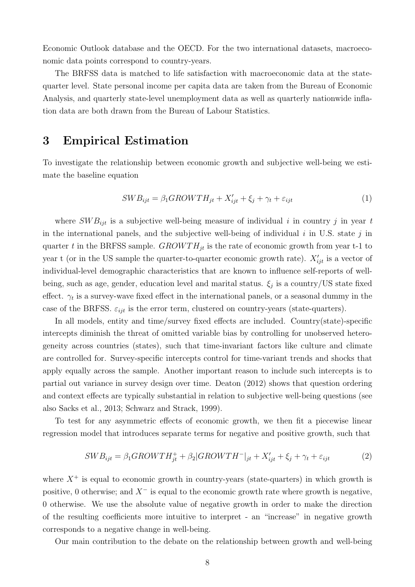Economic Outlook database and the OECD. For the two international datasets, macroeconomic data points correspond to country-years.

The BRFSS data is matched to life satisfaction with macroeconomic data at the statequarter level. State personal income per capita data are taken from the Bureau of Economic Analysis, and quarterly state-level unemployment data as well as quarterly nationwide inflation data are both drawn from the Bureau of Labour Statistics.

### 3 Empirical Estimation

To investigate the relationship between economic growth and subjective well-being we estimate the baseline equation

$$
SWB_{ijt} = \beta_1 GROWTH_{jt} + X'_{ijt} + \xi_j + \gamma_t + \varepsilon_{ijt}
$$
\n<sup>(1)</sup>

where  $SWB_{ijt}$  is a subjective well-being measure of individual i in country j in year t in the international panels, and the subjective well-being of individual  $i$  in U.S. state  $j$  in quarter t in the BRFSS sample.  $GROWTH_{jt}$  is the rate of economic growth from year t-1 to year t (or in the US sample the quarter-to-quarter economic growth rate).  $X'_{ijt}$  is a vector of individual-level demographic characteristics that are known to influence self-reports of wellbeing, such as age, gender, education level and marital status.  $\xi_j$  is a country/US state fixed effect.  $\gamma_t$  is a survey-wave fixed effect in the international panels, or a seasonal dummy in the case of the BRFSS.  $\varepsilon_{ijt}$  is the error term, clustered on country-years (state-quarters).

In all models, entity and time/survey fixed effects are included. Country(state)-specific intercepts diminish the threat of omitted variable bias by controlling for unobserved heterogeneity across countries (states), such that time-invariant factors like culture and climate are controlled for. Survey-specific intercepts control for time-variant trends and shocks that apply equally across the sample. Another important reason to include such intercepts is to partial out variance in survey design over time. [Deaton](#page-26-3) [\(2012\)](#page-26-3) shows that question ordering and context effects are typically substantial in relation to subjective well-being questions (see also [Sacks et al.,](#page-29-11) [2013;](#page-29-11) [Schwarz and Strack,](#page-29-12) [1999\)](#page-29-12).

To test for any asymmetric effects of economic growth, we then fit a piecewise linear regression model that introduces separate terms for negative and positive growth, such that

$$
SWB_{ijt} = \beta_1 GROWTH_{jt}^+ + \beta_2 | GROWTH^-|_{jt} + X_{ijt}' + \xi_j + \gamma_t + \varepsilon_{ijt}
$$
 (2)

where  $X^+$  is equal to economic growth in country-years (state-quarters) in which growth is positive, 0 otherwise; and  $X^-$  is equal to the economic growth rate where growth is negative, 0 otherwise. We use the absolute value of negative growth in order to make the direction of the resulting coefficients more intuitive to interpret - an "increase" in negative growth corresponds to a negative change in well-being.

Our main contribution to the debate on the relationship between growth and well-being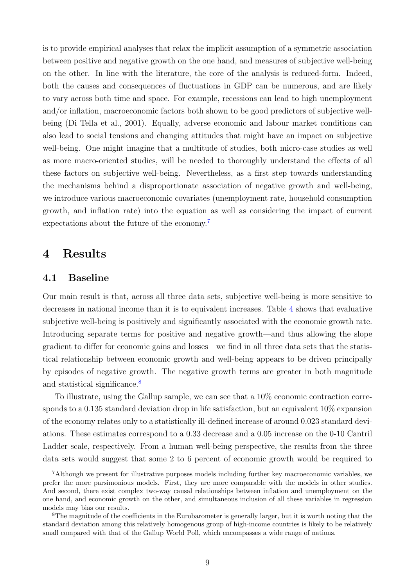is to provide empirical analyses that relax the implicit assumption of a symmetric association between positive and negative growth on the one hand, and measures of subjective well-being on the other. In line with the literature, the core of the analysis is reduced-form. Indeed, both the causes and consequences of fluctuations in GDP can be numerous, and are likely to vary across both time and space. For example, recessions can lead to high unemployment and/or inflation, macroeconomic factors both shown to be good predictors of subjective wellbeing [\(Di Tella et al.,](#page-27-2) [2001\)](#page-27-2). Equally, adverse economic and labour market conditions can also lead to social tensions and changing attitudes that might have an impact on subjective well-being. One might imagine that a multitude of studies, both micro-case studies as well as more macro-oriented studies, will be needed to thoroughly understand the effects of all these factors on subjective well-being. Nevertheless, as a first step towards understanding the mechanisms behind a disproportionate association of negative growth and well-being, we introduce various macroeconomic covariates (unemployment rate, household consumption growth, and inflation rate) into the equation as well as considering the impact of current expectations about the future of the economy.[7](#page-10-0)

### 4 Results

#### 4.1 Baseline

Our main result is that, across all three data sets, subjective well-being is more sensitive to decreases in national income than it is to equivalent increases. Table [4](#page-11-0) shows that evaluative subjective well-being is positively and significantly associated with the economic growth rate. Introducing separate terms for positive and negative growth—and thus allowing the slope gradient to differ for economic gains and losses—we find in all three data sets that the statistical relationship between economic growth and well-being appears to be driven principally by episodes of negative growth. The negative growth terms are greater in both magnitude and statistical significance.<sup>[8](#page-10-1)</sup>

To illustrate, using the Gallup sample, we can see that a 10% economic contraction corresponds to a 0.135 standard deviation drop in life satisfaction, but an equivalent  $10\%$  expansion of the economy relates only to a statistically ill-defined increase of around 0.023 standard deviations. These estimates correspond to a 0.33 decrease and a 0.05 increase on the 0-10 Cantril Ladder scale, respectively. From a human well-being perspective, the results from the three data sets would suggest that some 2 to 6 percent of economic growth would be required to

<span id="page-10-0"></span><sup>7</sup>Although we present for illustrative purposes models including further key macroeconomic variables, we prefer the more parsimonious models. First, they are more comparable with the models in other studies. And second, there exist complex two-way causal relationships between inflation and unemployment on the one hand, and economic growth on the other, and simultaneous inclusion of all these variables in regression models may bias our results.

<span id="page-10-1"></span><sup>8</sup>The magnitude of the coefficients in the Eurobarometer is generally larger, but it is worth noting that the standard deviation among this relatively homogenous group of high-income countries is likely to be relatively small compared with that of the Gallup World Poll, which encompasses a wide range of nations.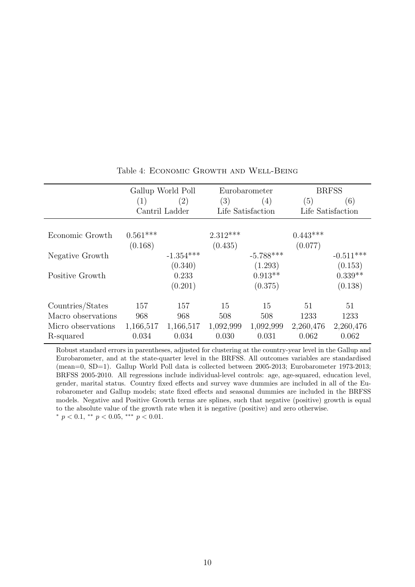<span id="page-11-0"></span>

|                    |            | Gallup World Poll |                   | Eurobarometer |                   | <b>BRFSS</b> |
|--------------------|------------|-------------------|-------------------|---------------|-------------------|--------------|
|                    | (1)        | (2)               | (3)               | (4)           | (5)               | (6)          |
|                    |            | Cantril Ladder    | Life Satisfaction |               | Life Satisfaction |              |
|                    |            |                   |                   |               |                   |              |
| Economic Growth    | $0.561***$ |                   | $2.312***$        |               | $0.443***$        |              |
|                    | (0.168)    |                   | (0.435)           |               | (0.077)           |              |
| Negative Growth    |            | $-1.354***$       |                   | $-5.788***$   |                   | $-0.511***$  |
|                    |            | (0.340)           |                   | (1.293)       |                   | (0.153)      |
| Positive Growth    |            | 0.233             |                   | $0.913**$     |                   | $0.339**$    |
|                    |            | (0.201)           |                   | (0.375)       |                   | (0.138)      |
| Countries/States   | 157        | 157               | 15                | 15            | 51                | 51           |
| Macro observations | 968        | 968               | 508               | 508           | 1233              | 1233         |
| Micro observations | 1,166,517  | 1,166,517         | 1,092,999         | 1,092,999     | 2,260,476         | 2,260,476    |
| R-squared          | 0.034      | 0.034             | 0.030             | 0.031         | 0.062             | 0.062        |

#### Table 4: Economic Growth and Well-Being

Robust standard errors in parentheses, adjusted for clustering at the country-year level in the Gallup and Eurobarometer, and at the state-quarter level in the BRFSS. All outcomes variables are standardised (mean=0, SD=1). Gallup World Poll data is collected between 2005-2013; Eurobarometer 1973-2013; BRFSS 2005-2010. All regressions include individual-level controls: age, age-squared, education level, gender, marital status. Country fixed effects and survey wave dummies are included in all of the Eurobarometer and Gallup models; state fixed effects and seasonal dummies are included in the BRFSS models. Negative and Positive Growth terms are splines, such that negative (positive) growth is equal to the absolute value of the growth rate when it is negative (positive) and zero otherwise.  $^{*}$   $p$   $<$  0.1,  $^{**}$   $p$   $<$  0.05,  $^{***}$   $p$   $<$  0.01.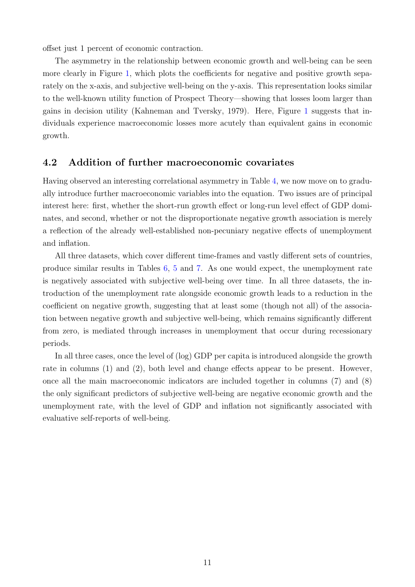offset just 1 percent of economic contraction.

The asymmetry in the relationship between economic growth and well-being can be seen more clearly in Figure [1,](#page-13-0) which plots the coefficients for negative and positive growth separately on the x-axis, and subjective well-being on the y-axis. This representation looks similar to the well-known utility function of Prospect Theory—showing that losses loom larger than gains in decision utility [\(Kahneman and Tversky,](#page-28-2) [1979\)](#page-28-2). Here, Figure [1](#page-13-0) suggests that individuals experience macroeconomic losses more acutely than equivalent gains in economic growth.

### 4.2 Addition of further macroeconomic covariates

Having observed an interesting correlational asymmetry in Table [4,](#page-11-0) we now move on to gradually introduce further macroeconomic variables into the equation. Two issues are of principal interest here: first, whether the short-run growth effect or long-run level effect of GDP dominates, and second, whether or not the disproportionate negative growth association is merely a reflection of the already well-established non-pecuniary negative effects of unemployment and inflation.

All three datasets, which cover different time-frames and vastly different sets of countries, produce similar results in Tables [6,](#page-15-0) [5](#page-14-0) and [7.](#page-16-0) As one would expect, the unemployment rate is negatively associated with subjective well-being over time. In all three datasets, the introduction of the unemployment rate alongside economic growth leads to a reduction in the coefficient on negative growth, suggesting that at least some (though not all) of the association between negative growth and subjective well-being, which remains significantly different from zero, is mediated through increases in unemployment that occur during recessionary periods.

In all three cases, once the level of (log) GDP per capita is introduced alongside the growth rate in columns (1) and (2), both level and change effects appear to be present. However, once all the main macroeconomic indicators are included together in columns (7) and (8) the only significant predictors of subjective well-being are negative economic growth and the unemployment rate, with the level of GDP and inflation not significantly associated with evaluative self-reports of well-being.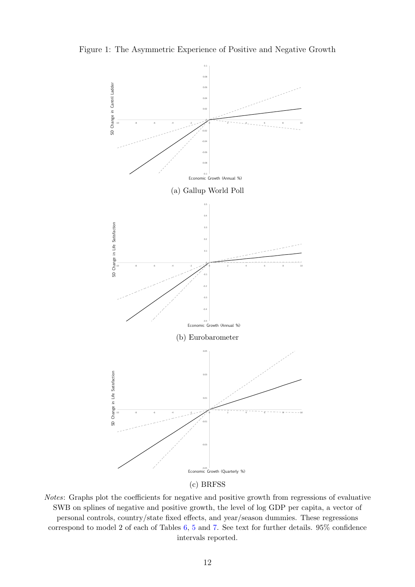<span id="page-13-0"></span>Figure 1: The Asymmetric Experience of Positive and Negative Growth



(c) BRFSS

Notes: Graphs plot the coefficients for negative and positive growth from regressions of evaluative SWB on splines of negative and positive growth, the level of log GDP per capita, a vector of personal controls, country/state fixed effects, and year/season dummies. These regressions correspond to model 2 of each of Tables [6,](#page-15-0) [5](#page-14-0) and [7.](#page-16-0) See text for further details. 95% confidence intervals reported.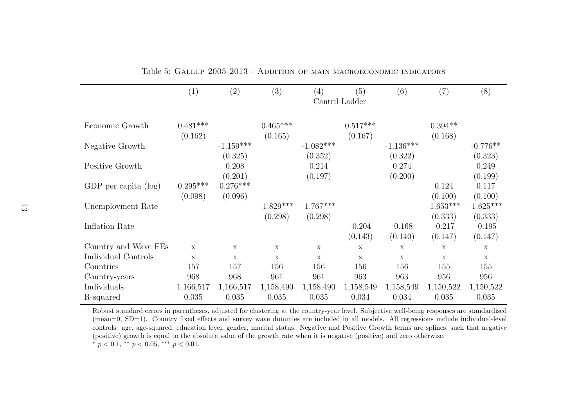|                      | (1)                   | (2)                    | (3)                   | (4)                    | (5)<br>Cantril Ladder | (6)                    | (7)                            | (8)                            |
|----------------------|-----------------------|------------------------|-----------------------|------------------------|-----------------------|------------------------|--------------------------------|--------------------------------|
|                      |                       |                        |                       |                        |                       |                        |                                |                                |
| Economic Growth      | $0.481***$<br>(0.162) |                        | $0.465***$<br>(0.165) |                        | $0.517***$<br>(0.167) |                        | $0.394**$<br>(0.168)           |                                |
| Negative Growth      |                       | $-1.159***$<br>(0.325) |                       | $-1.082***$<br>(0.352) |                       | $-1.136***$<br>(0.322) |                                | $-0.776**$<br>(0.323)          |
| Positive Growth      |                       | 0.208<br>(0.201)       |                       | 0.214<br>(0.197)       |                       | 0.274<br>(0.200)       |                                | 0.249<br>(0.199)               |
| GDP per capita (log) | $0.295***$            | $0.276***$             |                       |                        |                       |                        | 0.124                          | 0.117                          |
| Unemployment Rate    | (0.098)               | (0.096)                | $-1.829***$           | $-1.767***$            |                       |                        | (0.100)<br>$-1.653***$         | (0.100)<br>$-1.625***$         |
| Inflation Rate       |                       |                        | (0.298)               | (0.298)                | $-0.204$<br>(0.143)   | $-0.168$<br>(0.140)    | (0.333)<br>$-0.217$<br>(0.147) | (0.333)<br>$-0.195$<br>(0.147) |
| Country and Wave FEs | X                     | $\mathbf x$            | $\mathbf x$           | $\mathbf{x}$           | $\mathbf x$           | $\mathbf x$            | $\mathbf x$                    | $\mathbf x$                    |
| Individual Controls  | $\mathbf x$           | $\mathbf x$            | $\mathbf x$           | $\mathbf x$            | $\mathbf x$           | $\mathbf x$            | $\mathbf x$                    | $\mathbf x$                    |
| Countries            | 157                   | 157                    | 156                   | 156                    | 156                   | 156                    | 155                            | 155                            |
| Country-years        | 968                   | 968                    | 961                   | 961                    | 963                   | 963                    | 956                            | 956                            |
| Individuals          | 1,166,517             | 1,166,517              | 1,158,490             | 1,158,490              | 1,158,549             | 1,158,549              | 1,150,522                      | 1,150,522                      |
| R-squared            | 0.035                 | 0.035                  | 0.035                 | 0.035                  | 0.034                 | 0.034                  | 0.035                          | 0.035                          |

Table 5: Gallup 2005-2013 - Addition of main macroeconomic indicators

<span id="page-14-0"></span>Robust standard errors in parentheses, adjusted for clustering at the country-year level. Subjective well-being responses are standardised (mean=0, SD=1). Country fixed effects and survey wave dummies are included in all models. All regressions include individual-level controls: age, age-squared, education level, gender, marital status. Negative and Positive Growth terms are splines, such that negative(positive) growth is equa<sup>l</sup> to the absolute value of the growth rate when it is negative (positive) and zero otherwise.\*  $p < 0.1$ , \*\*  $p < 0.05$ , \*\*\*  $p < 0.01$ .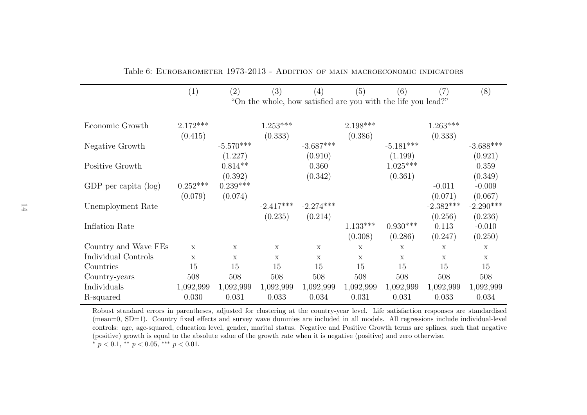|                         | (1)                   | $\left( 2\right)$     | (3)                   | (4)              | (5)                   | (6)                                                           | (7)                         | (8)                            |
|-------------------------|-----------------------|-----------------------|-----------------------|------------------|-----------------------|---------------------------------------------------------------|-----------------------------|--------------------------------|
|                         |                       |                       |                       |                  |                       | "On the whole, how satisfied are you with the life you lead?" |                             |                                |
| Economic Growth         | $2.172***$<br>(0.415) |                       | $1.253***$<br>(0.333) |                  | $2.198***$<br>(0.386) |                                                               | $1.263***$<br>(0.333)       |                                |
| Negative Growth         |                       | $-5.570***$           |                       | $-3.687***$      |                       | $-5.181***$                                                   |                             | $-3.688***$                    |
| Positive Growth         |                       | (1.227)<br>$0.814**$  |                       | (0.910)<br>0.360 |                       | (1.199)<br>$1.025***$                                         |                             | (0.921)<br>0.359               |
| GDP per capita $(\log)$ | $0.252***$            | (0.392)<br>$0.239***$ |                       | (0.342)          |                       | (0.361)                                                       | $-0.011$                    | (0.349)<br>$-0.009$            |
| Unemployment Rate       | (0.079)               | (0.074)               | $-2.417***$           | $-2.274***$      |                       |                                                               | (0.071)<br>$-2.382***$      | (0.067)<br>$-2.290***$         |
| Inflation Rate          |                       |                       | (0.235)               | (0.214)          | $1.133***$<br>(0.308) | $0.930***$<br>(0.286)                                         | (0.256)<br>0.113<br>(0.247) | (0.236)<br>$-0.010$<br>(0.250) |
| Country and Wave FEs    | X                     | $\mathbf x$           | $\mathbf x$           | X                | X                     | $\mathbf x$                                                   | $\mathbf x$                 | X                              |
| Individual Controls     | $\mathbf x$           | $\mathbf{x}$          | $\mathbf{x}$          | $\mathbf x$      | $\mathbf{x}$          | $\mathbf{x}$                                                  | $\mathbf x$                 | $\mathbf x$                    |
| Countries               | 15                    | 15                    | 15                    | 15               | 15                    | 15                                                            | 15                          | 15                             |
| Country-years           | 508                   | 508                   | 508                   | 508              | 508                   | 508                                                           | 508                         | 508                            |
| Individuals             | 1,092,999             | 1,092,999             | 1,092,999             | 1,092,999        | 1,092,999             | 1,092,999                                                     | 1,092,999                   | 1,092,999                      |
| R-squared               | 0.030                 | 0.031                 | 0.033                 | 0.034            | 0.031                 | 0.031                                                         | 0.033                       | 0.034                          |

Table 6: Eurobarometer 1973-2013 - Addition of main macroeconomic indicators

<span id="page-15-0"></span>Robust standard errors in parentheses, adjusted for clustering at the country-year level. Life satisfaction responses are standardised (mean=0, SD=1). Country fixed effects and survey wave dummies are included in all models. All regressions include individual-level controls: age, age-squared, education level, gender, marital status. Negative and Positive Growth terms are splines, such that negative(positive) growth is equa<sup>l</sup> to the absolute value of the growth rate when it is negative (positive) and zero otherwise.\*  $p < 0.1$ , \*\*  $p < 0.05$ , \*\*\*  $p < 0.01$ .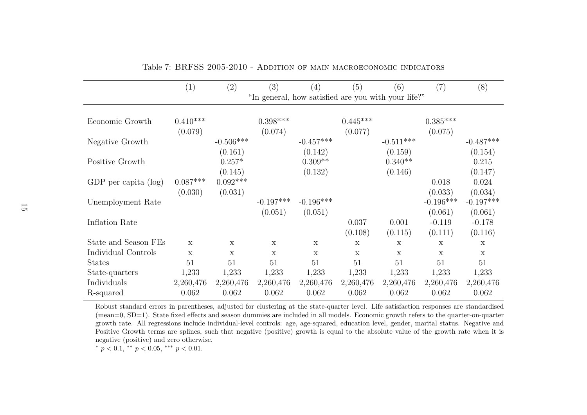|                                     | (1)                   | (2)                            | (3)                    | (4)                                                 | (5)                   | (6)                             | (7)                                           | (8)                                           |
|-------------------------------------|-----------------------|--------------------------------|------------------------|-----------------------------------------------------|-----------------------|---------------------------------|-----------------------------------------------|-----------------------------------------------|
|                                     |                       |                                |                        | "In general, how satisfied are you with your life?" |                       |                                 |                                               |                                               |
| Economic Growth                     | $0.410***$<br>(0.079) |                                | $0.398***$<br>(0.074)  |                                                     | $0.445***$<br>(0.077) |                                 | $0.385***$<br>(0.075)                         |                                               |
| Negative Growth                     |                       | $-0.506***$                    |                        | $-0.457***$                                         |                       | $-0.511***$                     |                                               | $-0.487***$                                   |
| Positive Growth                     |                       | (0.161)<br>$0.257*$<br>(0.145) |                        | (0.142)<br>$0.309**$<br>(0.132)                     |                       | (0.159)<br>$0.340**$<br>(0.146) |                                               | (0.154)<br>0.215<br>(0.147)                   |
| GDP per capita (log)                | $0.087***$            | $0.092***$                     |                        |                                                     |                       |                                 | 0.018                                         | 0.024                                         |
| Unemployment Rate<br>Inflation Rate | (0.030)               | (0.031)                        | $-0.197***$<br>(0.051) | $-0.196***$<br>(0.051)                              | 0.037                 | 0.001                           | (0.033)<br>$-0.196***$<br>(0.061)<br>$-0.119$ | (0.034)<br>$-0.197***$<br>(0.061)<br>$-0.178$ |
|                                     |                       |                                |                        |                                                     | (0.108)               | (0.115)                         | (0.111)                                       | (0.116)                                       |
| State and Season FEs                | $\mathbf x$           | $\mathbf x$                    | $\mathbf x$            | $\mathbf x$                                         | $\mathbf x$           | $\mathbf x$                     | $\mathbf x$                                   | $\mathbf x$                                   |
| Individual Controls                 | $\mathbf x$           | $\mathbf x$                    | X                      | $\mathbf x$                                         | $\mathbf x$           | $\mathbf x$                     | $\mathbf x$                                   | $\mathbf x$                                   |
| <b>States</b>                       | 51                    | 51                             | 51                     | 51                                                  | 51                    | 51                              | 51                                            | 51                                            |
| State-quarters                      | 1,233                 | 1,233                          | 1,233                  | 1,233                                               | 1,233                 | 1,233                           | 1,233                                         | 1,233                                         |
| Individuals                         | 2,260,476             | 2,260,476                      | 2,260,476              | 2,260,476                                           | 2,260,476             | 2,260,476                       | 2,260,476                                     | 2,260,476                                     |
| R-squared                           | 0.062                 | 0.062                          | 0.062                  | 0.062                                               | 0.062                 | 0.062                           | 0.062                                         | 0.062                                         |

<span id="page-16-0"></span>Table 7: BRFSS 2005-2010 - Addition of main macroeconomic indicators

Robust standard errors in parentheses, adjusted for clustering at the state-quarter level. Life satisfaction responses are standardised (mean=0, SD=1). State fixed effects and season dummies are included in all models. Economic growth refers to the quarter-on-quarter growth rate. All regressions include individual-level controls: age, age-squared, education level, gender, marital status. Negative and Positive Growth terms are splines, such that negative (positive) growth is equa<sup>l</sup> to the absolute value of the growth rate when it isnegative (positive) and zero otherwise.

\*  $p < 0.1$ , \*\*  $p < 0.05$ , \*\*\*  $p < 0.01$ .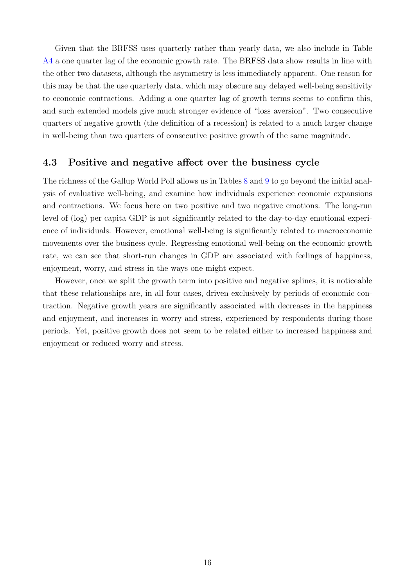Given that the BRFSS uses quarterly rather than yearly data, we also include in Table [A4](#page-34-0) a one quarter lag of the economic growth rate. The BRFSS data show results in line with the other two datasets, although the asymmetry is less immediately apparent. One reason for this may be that the use quarterly data, which may obscure any delayed well-being sensitivity to economic contractions. Adding a one quarter lag of growth terms seems to confirm this, and such extended models give much stronger evidence of "loss aversion". Two consecutive quarters of negative growth (the definition of a recession) is related to a much larger change in well-being than two quarters of consecutive positive growth of the same magnitude.

#### 4.3 Positive and negative affect over the business cycle

The richness of the Gallup World Poll allows us in Tables [8](#page-18-0) and [9](#page-19-0) to go beyond the initial analysis of evaluative well-being, and examine how individuals experience economic expansions and contractions. We focus here on two positive and two negative emotions. The long-run level of (log) per capita GDP is not significantly related to the day-to-day emotional experience of individuals. However, emotional well-being is significantly related to macroeconomic movements over the business cycle. Regressing emotional well-being on the economic growth rate, we can see that short-run changes in GDP are associated with feelings of happiness, enjoyment, worry, and stress in the ways one might expect.

However, once we split the growth term into positive and negative splines, it is noticeable that these relationships are, in all four cases, driven exclusively by periods of economic contraction. Negative growth years are significantly associated with decreases in the happiness and enjoyment, and increases in worry and stress, experienced by respondents during those periods. Yet, positive growth does not seem to be related either to increased happiness and enjoyment or reduced worry and stress.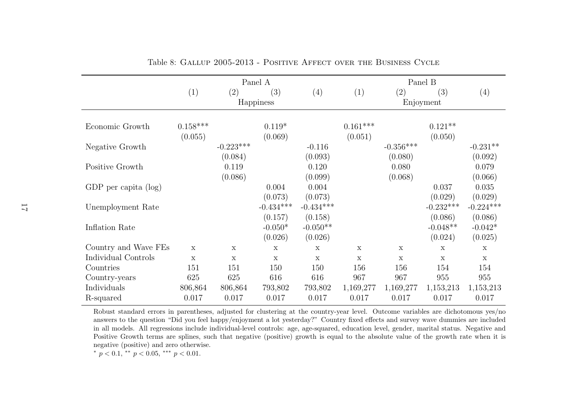|                      |             | Panel A     |             |             |             | Panel B     |             |             |  |  |
|----------------------|-------------|-------------|-------------|-------------|-------------|-------------|-------------|-------------|--|--|
|                      | (1)         | (2)         | (3)         | (4)         | (1)         | (2)         | (3)         | (4)         |  |  |
|                      |             |             | Happiness   |             |             |             | Enjoyment   |             |  |  |
|                      |             |             |             |             |             |             |             |             |  |  |
| Economic Growth      | $0.158***$  |             | $0.119*$    |             | $0.161***$  |             | $0.121**$   |             |  |  |
|                      | (0.055)     |             | (0.069)     |             | (0.051)     |             | (0.050)     |             |  |  |
| Negative Growth      |             | $-0.223***$ |             | $-0.116$    |             | $-0.356***$ |             | $-0.231**$  |  |  |
|                      |             | (0.084)     |             | (0.093)     |             | (0.080)     |             | (0.092)     |  |  |
| Positive Growth      |             | 0.119       |             | 0.120       |             | 0.080       |             | 0.079       |  |  |
|                      |             | (0.086)     |             | (0.099)     |             | (0.068)     |             | (0.066)     |  |  |
| GDP per capita (log) |             |             | 0.004       | 0.004       |             |             | 0.037       | 0.035       |  |  |
|                      |             |             | (0.073)     | (0.073)     |             |             | (0.029)     | (0.029)     |  |  |
| Unemployment Rate    |             |             | $-0.434***$ | $-0.434***$ |             |             | $-0.232***$ | $-0.224***$ |  |  |
|                      |             |             | (0.157)     | (0.158)     |             |             | (0.086)     | (0.086)     |  |  |
| Inflation Rate       |             |             | $-0.050*$   | $-0.050**$  |             |             | $-0.048**$  | $-0.042*$   |  |  |
|                      |             |             | (0.026)     | (0.026)     |             |             | (0.024)     | (0.025)     |  |  |
| Country and Wave FEs | $\mathbf x$ | $\mathbf x$ | $\mathbf x$ | $\mathbf x$ | $\mathbf x$ | $\mathbf x$ | $\mathbf x$ | $\mathbf x$ |  |  |
| Individual Controls  | $\mathbf x$ | $\mathbf x$ | $\mathbf x$ | $\mathbf x$ | $\mathbf x$ | $\mathbf X$ | $\mathbf x$ | $\mathbf x$ |  |  |
| Countries            | 151         | 151         | 150         | 150         | 156         | 156         | 154         | 154         |  |  |
| Country-years        | 625         | 625         | 616         | 616         | 967         | 967         | 955         | 955         |  |  |
| Individuals          | 806,864     | 806,864     | 793,802     | 793,802     | 1,169,277   | 1,169,277   | 1,153,213   | 1,153,213   |  |  |
| R-squared            | 0.017       | 0.017       | 0.017       | 0.017       | 0.017       | 0.017       | 0.017       | 0.017       |  |  |

Table 8: Gallup 2005-2013 - Positive Affect over the Business Cycle

Robust standard errors in parentheses, adjusted for clustering at the country-year level. Outcome variables are dichotomous yes/no answers to the question "Did you feel happy/enjoyment <sup>a</sup> lot yesterday?" Country fixed effects and survey wave dummies are included in all models. All regressions include individual-level controls: age, age-squared, education level, gender, marital status. Negative and Positive Growth terms are splines, such that negative (positive) growth is equa<sup>l</sup> to the absolute value of the growth rate when it isnegative (positive) and zero otherwise.

<span id="page-18-0"></span>\*  $p < 0.1$ , \*\*  $p < 0.05$ , \*\*\*  $p < 0.01$ .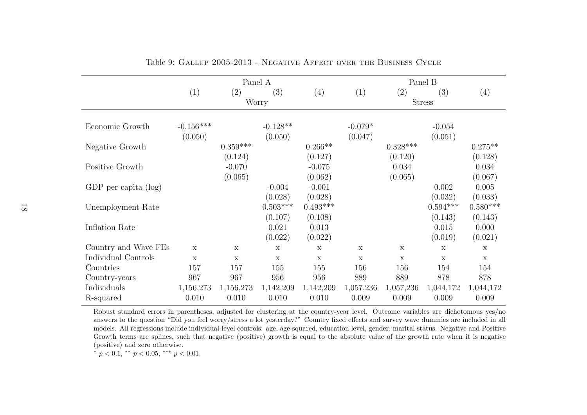|                                                                 |                        |                                | Panel A                           |                                                                     | Panel B              |                             |                                |                                                               |  |
|-----------------------------------------------------------------|------------------------|--------------------------------|-----------------------------------|---------------------------------------------------------------------|----------------------|-----------------------------|--------------------------------|---------------------------------------------------------------|--|
|                                                                 | (1)                    | $\left( 2\right)$              | (3)                               | (4)                                                                 | (1)                  | (2)                         | (3)                            | (4)                                                           |  |
|                                                                 |                        |                                | Worry                             |                                                                     |                      |                             | <b>Stress</b>                  |                                                               |  |
| Economic Growth                                                 | $-0.156***$<br>(0.050) |                                | $-0.128**$<br>(0.050)             |                                                                     | $-0.079*$<br>(0.047) |                             | $-0.054$<br>(0.051)            |                                                               |  |
| Negative Growth                                                 |                        | $0.359^{***}\,$                |                                   | $0.266**$                                                           |                      | $0.328***$                  |                                | $0.275**$                                                     |  |
| Positive Growth<br>GDP per capita $(\log)$<br>Unemployment Rate |                        | (0.124)<br>$-0.070$<br>(0.065) | $-0.004$<br>(0.028)<br>$0.503***$ | (0.127)<br>$-0.075$<br>(0.062)<br>$-0.001$<br>(0.028)<br>$0.493***$ |                      | (0.120)<br>0.034<br>(0.065) | 0.002<br>(0.032)<br>$0.594***$ | (0.128)<br>0.034<br>(0.067)<br>0.005<br>(0.033)<br>$0.580***$ |  |
| Inflation Rate                                                  |                        |                                | (0.107)<br>0.021<br>(0.022)       | (0.108)<br>0.013<br>(0.022)                                         |                      |                             | (0.143)<br>0.015<br>(0.019)    | (0.143)<br>0.000<br>(0.021)                                   |  |
| Country and Wave FEs                                            | X                      | $\mathbf x$                    | $\mathbf x$                       | $\mathbf x$                                                         | $\mathbf X$          | $\mathbf X$                 | $\mathbf x$                    | $\mathbf X$                                                   |  |
| Individual Controls                                             | $\mathbf x$            | $\mathbf x$                    | $\mathbf x$                       | $\mathbf x$                                                         | $\mathbf x$          | $\mathbf x$                 | $\mathbf X$                    | $\mathbf x$                                                   |  |
| Countries                                                       | 157                    | 157                            | 155                               | 155                                                                 | 156                  | 156                         | 154                            | 154                                                           |  |
| Country-years                                                   | 967                    | 967                            | 956                               | 956                                                                 | 889                  | 889                         | 878                            | 878                                                           |  |
| Individuals                                                     | 1,156,273              | 1,156,273                      | 1,142,209                         | 1,142,209                                                           | 1,057,236            | 1,057,236                   | 1,044,172                      | 1,044,172                                                     |  |
| R-squared                                                       | 0.010                  | 0.010                          | 0.010                             | 0.010                                                               | 0.009                | 0.009                       | 0.009                          | 0.009                                                         |  |

<span id="page-19-0"></span>Table 9: Gallup 2005-2013 - Negative Affect over the Business Cycle

Robust standard errors in parentheses, adjusted for clustering at the country-year level. Outcome variables are dichotomous yes/no answers to the question "Did you feel worry/stress <sup>a</sup> lot yesterday?" Country fixed effects and survey wave dummies are included in all models. All regressions include individual-level controls: age, age-squared, education level, gender, marital status. Negative and Positive Growth terms are splines, such that negative (positive) growth is equa<sup>l</sup> to the absolute value of the growth rate when it is negative(positive) and zero otherwise.

\*  $p < 0.1$ , \*\*  $p < 0.05$ , \*\*\*  $p < 0.01$ .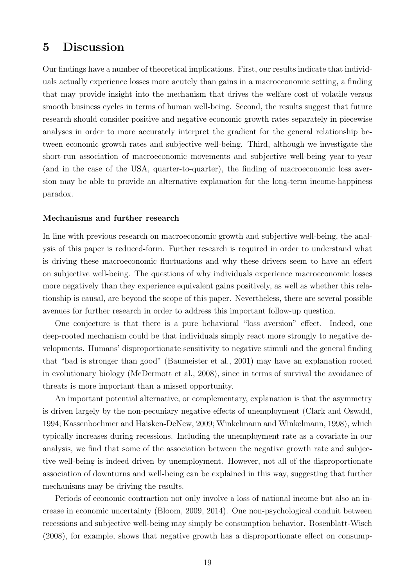# 5 Discussion

Our findings have a number of theoretical implications. First, our results indicate that individuals actually experience losses more acutely than gains in a macroeconomic setting, a finding that may provide insight into the mechanism that drives the welfare cost of volatile versus smooth business cycles in terms of human well-being. Second, the results suggest that future research should consider positive and negative economic growth rates separately in piecewise analyses in order to more accurately interpret the gradient for the general relationship between economic growth rates and subjective well-being. Third, although we investigate the short-run association of macroeconomic movements and subjective well-being year-to-year (and in the case of the USA, quarter-to-quarter), the finding of macroeconomic loss aversion may be able to provide an alternative explanation for the long-term income-happiness paradox.

#### Mechanisms and further research

In line with previous research on macroeconomic growth and subjective well-being, the analysis of this paper is reduced-form. Further research is required in order to understand what is driving these macroeconomic fluctuations and why these drivers seem to have an effect on subjective well-being. The questions of why individuals experience macroeconomic losses more negatively than they experience equivalent gains positively, as well as whether this relationship is causal, are beyond the scope of this paper. Nevertheless, there are several possible avenues for further research in order to address this important follow-up question.

One conjecture is that there is a pure behavioral "loss aversion" effect. Indeed, one deep-rooted mechanism could be that individuals simply react more strongly to negative developments. Humans' disproportionate sensitivity to negative stimuli and the general finding that "bad is stronger than good" [\(Baumeister et al.,](#page-25-0) [2001\)](#page-25-0) may have an explanation rooted in evolutionary biology [\(McDermott et al.,](#page-28-12) [2008\)](#page-28-12), since in terms of survival the avoidance of threats is more important than a missed opportunity.

An important potential alternative, or complementary, explanation is that the asymmetry is driven largely by the non-pecuniary negative effects of unemployment [\(Clark and Oswald,](#page-26-6) [1994;](#page-26-6) [Kassenboehmer and Haisken-DeNew,](#page-28-13) [2009;](#page-28-13) [Winkelmann and Winkelmann,](#page-30-2) [1998\)](#page-30-2), which typically increases during recessions. Including the unemployment rate as a covariate in our analysis, we find that some of the association between the negative growth rate and subjective well-being is indeed driven by unemployment. However, not all of the disproportionate association of downturns and well-being can be explained in this way, suggesting that further mechanisms may be driving the results.

Periods of economic contraction not only involve a loss of national income but also an increase in economic uncertainty [\(Bloom,](#page-26-7) [2009,](#page-26-7) [2014\)](#page-26-8). One non-psychological conduit between recessions and subjective well-being may simply be consumption behavior. [Rosenblatt-Wisch](#page-29-13) [\(2008\)](#page-29-13), for example, shows that negative growth has a disproportionate effect on consump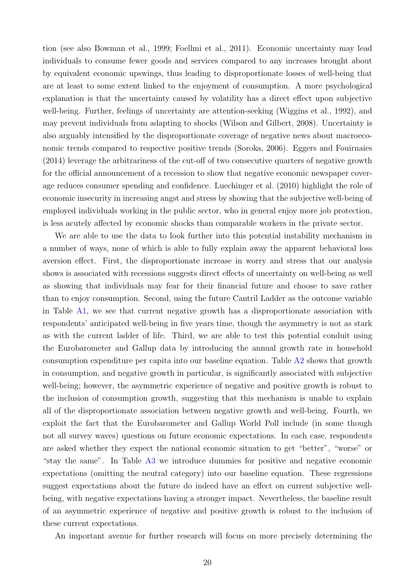tion (see also [Bowman et al.,](#page-26-9) [1999;](#page-26-9) [Foellmi et al.,](#page-27-8) [2011\)](#page-27-8). Economic uncertainty may lead individuals to consume fewer goods and services compared to any increases brought about by equivalent economic upswings, thus leading to disproportionate losses of well-being that are at least to some extent linked to the enjoyment of consumption. A more psychological explanation is that the uncertainty caused by volatility has a direct effect upon subjective well-being. Further, feelings of uncertainty are attention-seeking [\(Wiggins et al.,](#page-29-14) [1992\)](#page-29-14), and may prevent individuals from adapting to shocks [\(Wilson and Gilbert,](#page-30-3) [2008\)](#page-30-3). Uncertainty is also arguably intensified by the disproportionate coverage of negative news about macroeconomic trends compared to respective positive trends [\(Soroka,](#page-29-15) [2006\)](#page-29-15). [Eggers and Fouirnaies](#page-27-9) [\(2014\)](#page-27-9) leverage the arbitrariness of the cut-off of two consecutive quarters of negative growth for the official announcement of a recession to show that negative economic newspaper coverage reduces consumer spending and confidence. [Luechinger et al.](#page-28-14) [\(2010\)](#page-28-14) highlight the role of economic insecurity in increasing angst and stress by showing that the subjective well-being of employed individuals working in the public sector, who in general enjoy more job protection, is less acutely affected by economic shocks than comparable workers in the private sector.

We are able to use the data to look further into this potential instability mechanism in a number of ways, none of which is able to fully explain away the apparent behavioral loss aversion effect. First, the disproportionate increase in worry and stress that our analysis shows is associated with recessions suggests direct effects of uncertainty on well-being as well as showing that individuals may fear for their financial future and choose to save rather than to enjoy consumption. Second, using the future Cantril Ladder as the outcome variable in Table [A1,](#page-31-0) we see that current negative growth has a disproportionate association with respondents' anticipated well-being in five years time, though the asymmetry is not as stark as with the current ladder of life. Third, we are able to test this potential conduit using the Eurobarometer and Gallup data by introducing the annual growth rate in household consumption expenditure per capita into our baseline equation. Table [A2](#page-32-0) shows that growth in consumption, and negative growth in particular, is significantly associated with subjective well-being; however, the asymmetric experience of negative and positive growth is robust to the inclusion of consumption growth, suggesting that this mechanism is unable to explain all of the disproportionate association between negative growth and well-being. Fourth, we exploit the fact that the Eurobarometer and Gallup World Poll include (in some though not all survey waves) questions on future economic expectations. In each case, respondents are asked whether they expect the national economic situation to get "better", "worse" or "stay the same". In Table [A3](#page-33-0) we introduce dummies for positive and negative economic expectations (omitting the neutral category) into our baseline equation. These regressions suggest expectations about the future do indeed have an effect on current subjective wellbeing, with negative expectations having a stronger impact. Nevertheless, the baseline result of an asymmetric experience of negative and positive growth is robust to the inclusion of these current expectations.

An important avenue for further research will focus on more precisely determining the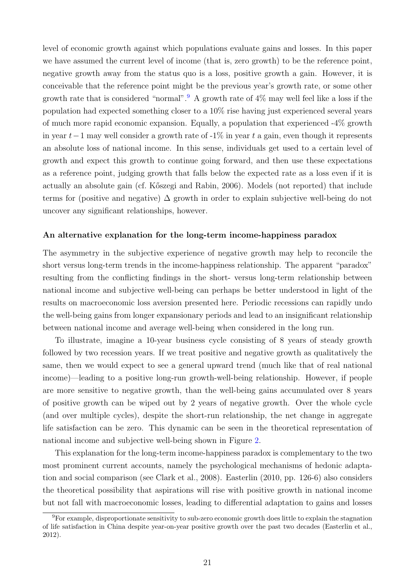level of economic growth against which populations evaluate gains and losses. In this paper we have assumed the current level of income (that is, zero growth) to be the reference point, negative growth away from the status quo is a loss, positive growth a gain. However, it is conceivable that the reference point might be the previous year's growth rate, or some other growth rate that is considered "normal".<sup>[9](#page-22-0)</sup> A growth rate of  $4\%$  may well feel like a loss if the population had expected something closer to a 10% rise having just experienced several years of much more rapid economic expansion. Equally, a population that experienced -4% growth in year  $t-1$  may well consider a growth rate of -1% in year t a gain, even though it represents an absolute loss of national income. In this sense, individuals get used to a certain level of growth and expect this growth to continue going forward, and then use these expectations as a reference point, judging growth that falls below the expected rate as a loss even if it is actually an absolute gain (cf. [K˝oszegi and Rabin,](#page-28-15) [2006\)](#page-28-15). Models (not reported) that include terms for (positive and negative)  $\Delta$  growth in order to explain subjective well-being do not uncover any significant relationships, however.

#### An alternative explanation for the long-term income-happiness paradox

The asymmetry in the subjective experience of negative growth may help to reconcile the short versus long-term trends in the income-happiness relationship. The apparent "paradox" resulting from the conflicting findings in the short- versus long-term relationship between national income and subjective well-being can perhaps be better understood in light of the results on macroeconomic loss aversion presented here. Periodic recessions can rapidly undo the well-being gains from longer expansionary periods and lead to an insignificant relationship between national income and average well-being when considered in the long run.

To illustrate, imagine a 10-year business cycle consisting of 8 years of steady growth followed by two recession years. If we treat positive and negative growth as qualitatively the same, then we would expect to see a general upward trend (much like that of real national income)—leading to a positive long-run growth-well-being relationship. However, if people are more sensitive to negative growth, than the well-being gains accumulated over 8 years of positive growth can be wiped out by 2 years of negative growth. Over the whole cycle (and over multiple cycles), despite the short-run relationship, the net change in aggregate life satisfaction can be zero. This dynamic can be seen in the theoretical representation of national income and subjective well-being shown in Figure [2.](#page-23-0)

This explanation for the long-term income-happiness paradox is complementary to the two most prominent current accounts, namely the psychological mechanisms of hedonic adaptation and social comparison (see [Clark et al.,](#page-26-10) [2008\)](#page-26-10). [Easterlin](#page-27-10) [\(2010,](#page-27-10) pp. 126-6) also considers the theoretical possibility that aspirations will rise with positive growth in national income but not fall with macroeconomic losses, leading to differential adaptation to gains and losses

<span id="page-22-0"></span><sup>9</sup>For example, disproportionate sensitivity to sub-zero economic growth does little to explain the stagnation of life satisfaction in China despite year-on-year positive growth over the past two decades [\(Easterlin et al.,](#page-27-11) [2012\)](#page-27-11).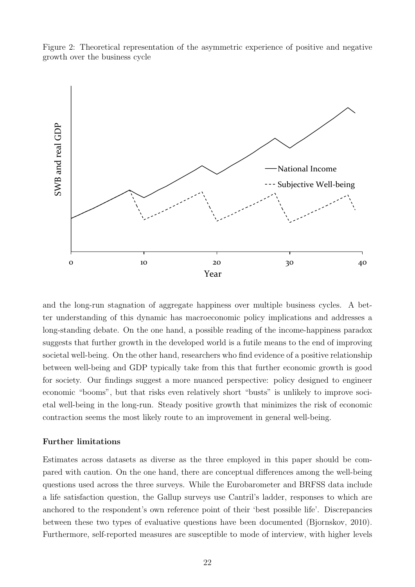Figure 2: Theoretical representation of the asymmetric experience of positive and negative growth over the business cycle

<span id="page-23-0"></span>

and the long-run stagnation of aggregate happiness over multiple business cycles. A better understanding of this dynamic has macroeconomic policy implications and addresses a long-standing debate. On the one hand, a possible reading of the income-happiness paradox suggests that further growth in the developed world is a futile means to the end of improving societal well-being. On the other hand, researchers who find evidence of a positive relationship between well-being and GDP typically take from this that further economic growth is good for society. Our findings suggest a more nuanced perspective: policy designed to engineer economic "booms", but that risks even relatively short "busts" is unlikely to improve societal well-being in the long-run. Steady positive growth that minimizes the risk of economic contraction seems the most likely route to an improvement in general well-being.

#### Further limitations

Estimates across datasets as diverse as the three employed in this paper should be compared with caution. On the one hand, there are conceptual differences among the well-being questions used across the three surveys. While the Eurobarometer and BRFSS data include a life satisfaction question, the Gallup surveys use Cantril's ladder, responses to which are anchored to the respondent's own reference point of their 'best possible life'. Discrepancies between these two types of evaluative questions have been documented [\(Bjornskov,](#page-26-11) [2010\)](#page-26-11). Furthermore, self-reported measures are susceptible to mode of interview, with higher levels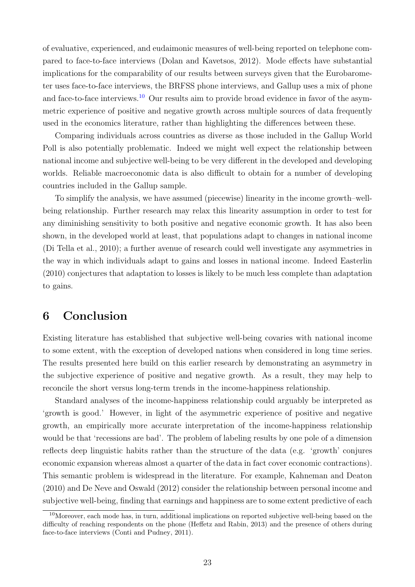of evaluative, experienced, and eudaimonic measures of well-being reported on telephone compared to face-to-face interviews [\(Dolan and Kavetsos,](#page-27-12) [2012\)](#page-27-12). Mode effects have substantial implications for the comparability of our results between surveys given that the Eurobarometer uses face-to-face interviews, the BRFSS phone interviews, and Gallup uses a mix of phone and face-to-face interviews.<sup>[10](#page-24-0)</sup> Our results aim to provide broad evidence in favor of the asymmetric experience of positive and negative growth across multiple sources of data frequently used in the economics literature, rather than highlighting the differences between these.

Comparing individuals across countries as diverse as those included in the Gallup World Poll is also potentially problematic. Indeed we might well expect the relationship between national income and subjective well-being to be very different in the developed and developing worlds. Reliable macroeconomic data is also difficult to obtain for a number of developing countries included in the Gallup sample.

To simplify the analysis, we have assumed (piecewise) linearity in the income growth–wellbeing relationship. Further research may relax this linearity assumption in order to test for any diminishing sensitivity to both positive and negative economic growth. It has also been shown, in the developed world at least, that populations adapt to changes in national income [\(Di Tella et al.,](#page-27-5) [2010\)](#page-27-5); a further avenue of research could well investigate any asymmetries in the way in which individuals adapt to gains and losses in national income. Indeed [Easterlin](#page-27-10) [\(2010\)](#page-27-10) conjectures that adaptation to losses is likely to be much less complete than adaptation to gains.

# 6 Conclusion

Existing literature has established that subjective well-being covaries with national income to some extent, with the exception of developed nations when considered in long time series. The results presented here build on this earlier research by demonstrating an asymmetry in the subjective experience of positive and negative growth. As a result, they may help to reconcile the short versus long-term trends in the income-happiness relationship.

Standard analyses of the income-happiness relationship could arguably be interpreted as 'growth is good.' However, in light of the asymmetric experience of positive and negative growth, an empirically more accurate interpretation of the income-happiness relationship would be that 'recessions are bad'. The problem of labeling results by one pole of a dimension reflects deep linguistic habits rather than the structure of the data (e.g. 'growth' conjures economic expansion whereas almost a quarter of the data in fact cover economic contractions). This semantic problem is widespread in the literature. For example, [Kahneman and Deaton](#page-28-11) [\(2010\)](#page-28-11) and [De Neve and Oswald](#page-26-12) [\(2012\)](#page-26-12) consider the relationship between personal income and subjective well-being, finding that earnings and happiness are to some extent predictive of each

<span id="page-24-0"></span> $10$ Moreover, each mode has, in turn, additional implications on reported subjective well-being based on the difficulty of reaching respondents on the phone [\(Heffetz and Rabin,](#page-27-13) [2013\)](#page-27-13) and the presence of others during face-to-face interviews [\(Conti and Pudney,](#page-26-13) [2011\)](#page-26-13).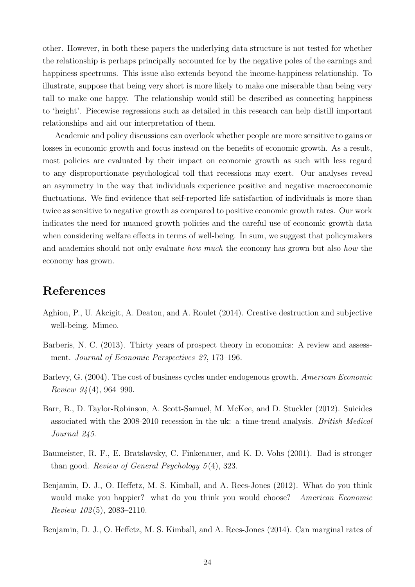other. However, in both these papers the underlying data structure is not tested for whether the relationship is perhaps principally accounted for by the negative poles of the earnings and happiness spectrums. This issue also extends beyond the income-happiness relationship. To illustrate, suppose that being very short is more likely to make one miserable than being very tall to make one happy. The relationship would still be described as connecting happiness to 'height'. Piecewise regressions such as detailed in this research can help distill important relationships and aid our interpretation of them.

Academic and policy discussions can overlook whether people are more sensitive to gains or losses in economic growth and focus instead on the benefits of economic growth. As a result, most policies are evaluated by their impact on economic growth as such with less regard to any disproportionate psychological toll that recessions may exert. Our analyses reveal an asymmetry in the way that individuals experience positive and negative macroeconomic fluctuations. We find evidence that self-reported life satisfaction of individuals is more than twice as sensitive to negative growth as compared to positive economic growth rates. Our work indicates the need for nuanced growth policies and the careful use of economic growth data when considering welfare effects in terms of well-being. In sum, we suggest that policymakers and academics should not only evaluate *how much* the economy has grown but also *how* the economy has grown.

# References

- <span id="page-25-6"></span>Aghion, P., U. Akcigit, A. Deaton, and A. Roulet (2014). Creative destruction and subjective well-being. Mimeo.
- <span id="page-25-2"></span>Barberis, N. C. (2013). Thirty years of prospect theory in economics: A review and assessment. Journal of Economic Perspectives 27, 173–196.
- <span id="page-25-3"></span>Barlevy, G. (2004). The cost of business cycles under endogenous growth. American Economic Review 94 (4), 964–990.
- <span id="page-25-4"></span>Barr, B., D. Taylor-Robinson, A. Scott-Samuel, M. McKee, and D. Stuckler (2012). Suicides associated with the 2008-2010 recession in the uk: a time-trend analysis. British Medical Journal 245.
- <span id="page-25-0"></span>Baumeister, R. F., E. Bratslavsky, C. Finkenauer, and K. D. Vohs (2001). Bad is stronger than good. Review of General Psychology 5 (4), 323.
- <span id="page-25-1"></span>Benjamin, D. J., O. Heffetz, M. S. Kimball, and A. Rees-Jones (2012). What do you think would make you happier? what do you think you would choose? *American Economic* Review 102 (5), 2083–2110.
- <span id="page-25-5"></span>Benjamin, D. J., O. Heffetz, M. S. Kimball, and A. Rees-Jones (2014). Can marginal rates of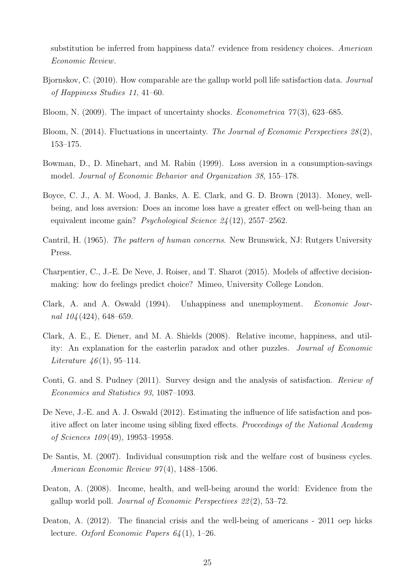substitution be inferred from happiness data? evidence from residency choices. American Economic Review.

- <span id="page-26-11"></span>Bjornskov, C. (2010). How comparable are the gallup world poll life satisfaction data. Journal of Happiness Studies 11, 41–60.
- <span id="page-26-7"></span>Bloom, N. (2009). The impact of uncertainty shocks. *Econometrica*  $77(3)$ , 623–685.
- <span id="page-26-8"></span>Bloom, N. (2014). Fluctuations in uncertainty. The Journal of Economic Perspectives 28(2), 153–175.
- <span id="page-26-9"></span>Bowman, D., D. Minehart, and M. Rabin (1999). Loss aversion in a consumption-savings model. Journal of Economic Behavior and Organization 38, 155–178.
- <span id="page-26-2"></span>Boyce, C. J., A. M. Wood, J. Banks, A. E. Clark, and G. D. Brown (2013). Money, wellbeing, and loss aversion: Does an income loss have a greater effect on well-being than an equivalent income gain? Psychological Science 24 (12), 2557–2562.
- <span id="page-26-5"></span>Cantril, H. (1965). The pattern of human concerns. New Brunswick, NJ: Rutgers University Press.
- <span id="page-26-4"></span>Charpentier, C., J.-E. De Neve, J. Roiser, and T. Sharot (2015). Models of affective decisionmaking: how do feelings predict choice? Mimeo, University College London.
- <span id="page-26-6"></span>Clark, A. and A. Oswald (1994). Unhappiness and unemployment. Economic Journal 104 (424), 648–659.
- <span id="page-26-10"></span>Clark, A. E., E. Diener, and M. A. Shields (2008). Relative income, happiness, and utility: An explanation for the easterlin paradox and other puzzles. Journal of Economic *Literature*  $46(1)$ , 95–114.
- <span id="page-26-13"></span>Conti, G. and S. Pudney (2011). Survey design and the analysis of satisfaction. Review of Economics and Statistics 93, 1087–1093.
- <span id="page-26-12"></span>De Neve, J.-E. and A. J. Oswald (2012). Estimating the influence of life satisfaction and positive affect on later income using sibling fixed effects. Proceedings of the National Academy of Sciences 109 (49), 19953–19958.
- <span id="page-26-1"></span>De Santis, M. (2007). Individual consumption risk and the welfare cost of business cycles. American Economic Review 97 (4), 1488–1506.
- <span id="page-26-0"></span>Deaton, A. (2008). Income, health, and well-being around the world: Evidence from the gallup world poll. Journal of Economic Perspectives 22 (2), 53–72.
- <span id="page-26-3"></span>Deaton, A. (2012). The financial crisis and the well-being of americans - 2011 oep hicks lecture. Oxford Economic Papers  $64(1)$ , 1–26.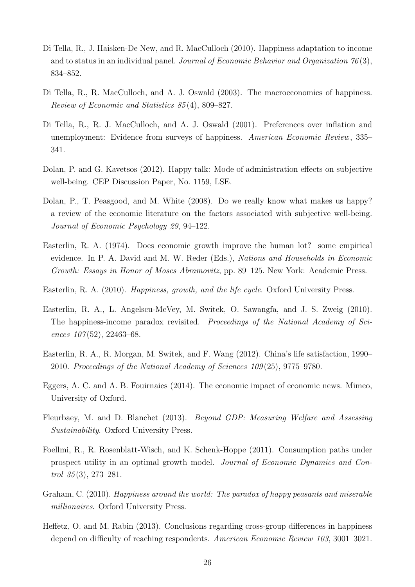- <span id="page-27-5"></span>Di Tella, R., J. Haisken-De New, and R. MacCulloch (2010). Happiness adaptation to income and to status in an individual panel. Journal of Economic Behavior and Organization  $76(3)$ , 834–852.
- <span id="page-27-1"></span>Di Tella, R., R. MacCulloch, and A. J. Oswald (2003). The macroeconomics of happiness. Review of Economic and Statistics 85 (4), 809–827.
- <span id="page-27-2"></span>Di Tella, R., R. J. MacCulloch, and A. J. Oswald (2001). Preferences over inflation and unemployment: Evidence from surveys of happiness. American Economic Review, 335– 341.
- <span id="page-27-12"></span>Dolan, P. and G. Kavetsos (2012). Happy talk: Mode of administration effects on subjective well-being. CEP Discussion Paper, No. 1159, LSE.
- <span id="page-27-7"></span>Dolan, P., T. Peasgood, and M. White (2008). Do we really know what makes us happy? a review of the economic literature on the factors associated with subjective well-being. Journal of Economic Psychology 29, 94–122.
- <span id="page-27-0"></span>Easterlin, R. A. (1974). Does economic growth improve the human lot? some empirical evidence. In P. A. David and M. W. Reder (Eds.), Nations and Households in Economic Growth: Essays in Honor of Moses Abramovitz, pp. 89–125. New York: Academic Press.
- <span id="page-27-10"></span>Easterlin, R. A. (2010). Happiness, growth, and the life cycle. Oxford University Press.
- <span id="page-27-3"></span>Easterlin, R. A., L. Angelscu-McVey, M. Switek, O. Sawangfa, and J. S. Zweig (2010). The happiness-income paradox revisited. Proceedings of the National Academy of Sciences  $107(52)$ , 22463–68.
- <span id="page-27-11"></span>Easterlin, R. A., R. Morgan, M. Switek, and F. Wang (2012). China's life satisfaction, 1990– 2010. Proceedings of the National Academy of Sciences 109 (25), 9775–9780.
- <span id="page-27-9"></span>Eggers, A. C. and A. B. Fouirnaies (2014). The economic impact of economic news. Mimeo, University of Oxford.
- <span id="page-27-6"></span>Fleurbaey, M. and D. Blanchet (2013). Beyond GDP: Measuring Welfare and Assessing Sustainability. Oxford University Press.
- <span id="page-27-8"></span>Foellmi, R., R. Rosenblatt-Wisch, and K. Schenk-Hoppe (2011). Consumption paths under prospect utility in an optimal growth model. Journal of Economic Dynamics and Control  $35(3)$ ,  $273-281$ .
- <span id="page-27-4"></span>Graham, C. (2010). Happiness around the world: The paradox of happy peasants and miserable millionaires. Oxford University Press.
- <span id="page-27-13"></span>Heffetz, O. and M. Rabin (2013). Conclusions regarding cross-group differences in happiness depend on difficulty of reaching respondents. American Economic Review 103, 3001–3021.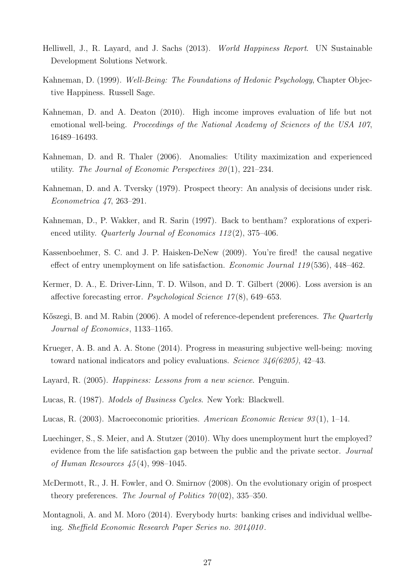- <span id="page-28-0"></span>Helliwell, J., R. Layard, and J. Sachs (2013). World Happiness Report. UN Sustainable Development Solutions Network.
- <span id="page-28-6"></span>Kahneman, D. (1999). Well-Being: The Foundations of Hedonic Psychology, Chapter Objective Happiness. Russell Sage.
- <span id="page-28-11"></span>Kahneman, D. and A. Deaton (2010). High income improves evaluation of life but not emotional well-being. Proceedings of the National Academy of Sciences of the USA 107, 16489–16493.
- <span id="page-28-9"></span>Kahneman, D. and R. Thaler (2006). Anomalies: Utility maximization and experienced utility. The Journal of Economic Perspectives  $20(1)$ , 221–234.
- <span id="page-28-2"></span>Kahneman, D. and A. Tversky (1979). Prospect theory: An analysis of decisions under risk. Econometrica 47, 263–291.
- <span id="page-28-5"></span>Kahneman, D., P. Wakker, and R. Sarin (1997). Back to bentham? explorations of experienced utility. *Quarterly Journal of Economics 112(2)*, 375–406.
- <span id="page-28-13"></span>Kassenboehmer, S. C. and J. P. Haisken-DeNew (2009). You're fired! the causal negative effect of entry unemployment on life satisfaction. Economic Journal 119 (536), 448–462.
- <span id="page-28-7"></span>Kermer, D. A., E. Driver-Linn, T. D. Wilson, and D. T. Gilbert (2006). Loss aversion is an affective forecasting error. Psychological Science 17 (8), 649–653.
- <span id="page-28-15"></span>Kőszegi, B. and M. Rabin (2006). A model of reference-dependent preferences. The Quarterly Journal of Economics, 1133–1165.
- <span id="page-28-10"></span>Krueger, A. B. and A. A. Stone (2014). Progress in measuring subjective well-being: moving toward national indicators and policy evaluations. Science 346(6205), 42–43.
- <span id="page-28-1"></span>Layard, R. (2005). Happiness: Lessons from a new science. Penguin.
- <span id="page-28-3"></span>Lucas, R. (1987). Models of Business Cycles. New York: Blackwell.
- <span id="page-28-4"></span>Lucas, R. (2003). Macroeconomic priorities. American Economic Review 93 (1), 1–14.
- <span id="page-28-14"></span>Luechinger, S., S. Meier, and A. Stutzer (2010). Why does unemployment hurt the employed? evidence from the life satisfaction gap between the public and the private sector. Journal of Human Resources 45 (4), 998–1045.
- <span id="page-28-12"></span>McDermott, R., J. H. Fowler, and O. Smirnov (2008). On the evolutionary origin of prospect theory preferences. The Journal of Politics  $70(02)$ , 335–350.
- <span id="page-28-8"></span>Montagnoli, A. and M. Moro (2014). Everybody hurts: banking crises and individual wellbeing. Sheffield Economic Research Paper Series no. 2014010 .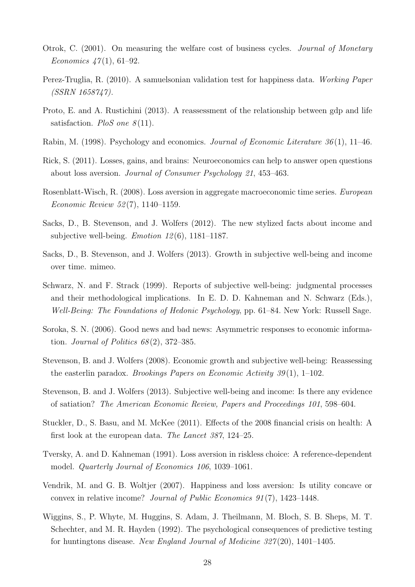- <span id="page-29-4"></span>Otrok, C. (2001). On measuring the welfare cost of business cycles. Journal of Monetary *Economics*  $47(1)$ , 61–92.
- <span id="page-29-10"></span>Perez-Truglia, R. (2010). A samuelsonian validation test for happiness data. Working Paper (SSRN 1658747).
- <span id="page-29-2"></span>Proto, E. and A. Rustichini (2013). A reassessment of the relationship between gdp and life satisfaction. PloS one  $8(11)$ .
- <span id="page-29-9"></span>Rabin, M. (1998). Psychology and economics. Journal of Economic Literature  $36(1)$ , 11–46.
- <span id="page-29-6"></span>Rick, S. (2011). Losses, gains, and brains: Neuroeconomics can help to answer open questions about loss aversion. Journal of Consumer Psychology 21, 453–463.
- <span id="page-29-13"></span>Rosenblatt-Wisch, R. (2008). Loss aversion in aggregate macroeconomic time series. European Economic Review 52 (7), 1140–1159.
- <span id="page-29-1"></span>Sacks, D., B. Stevenson, and J. Wolfers (2012). The new stylized facts about income and subjective well-being. *Emotion 12*(6), 1181–1187.
- <span id="page-29-11"></span>Sacks, D., B. Stevenson, and J. Wolfers (2013). Growth in subjective well-being and income over time. mimeo.
- <span id="page-29-12"></span>Schwarz, N. and F. Strack (1999). Reports of subjective well-being: judgmental processes and their methodological implications. In E. D. D. Kahneman and N. Schwarz (Eds.), Well-Being: The Foundations of Hedonic Psychology, pp. 61–84. New York: Russell Sage.
- <span id="page-29-15"></span>Soroka, S. N. (2006). Good news and bad news: Asymmetric responses to economic information. Journal of Politics  $68(2)$ , 372–385.
- <span id="page-29-0"></span>Stevenson, B. and J. Wolfers (2008). Economic growth and subjective well-being: Reassessing the easterlin paradox. *Brookings Papers on Economic Activity 39*(1), 1–102.
- <span id="page-29-3"></span>Stevenson, B. and J. Wolfers (2013). Subjective well-being and income: Is there any evidence of satiation? The American Economic Review, Papers and Proceedings 101, 598–604.
- <span id="page-29-8"></span>Stuckler, D., S. Basu, and M. McKee (2011). Effects of the 2008 financial crisis on health: A first look at the european data. The Lancet 387, 124–25.
- <span id="page-29-5"></span>Tversky, A. and D. Kahneman (1991). Loss aversion in riskless choice: A reference-dependent model. Quarterly Journal of Economics 106, 1039–1061.
- <span id="page-29-7"></span>Vendrik, M. and G. B. Woltjer (2007). Happiness and loss aversion: Is utility concave or convex in relative income? Journal of Public Economics 91 (7), 1423–1448.
- <span id="page-29-14"></span>Wiggins, S., P. Whyte, M. Huggins, S. Adam, J. Theilmann, M. Bloch, S. B. Sheps, M. T. Schechter, and M. R. Hayden (1992). The psychological consequences of predictive testing for huntingtons disease. New England Journal of Medicine 327 (20), 1401–1405.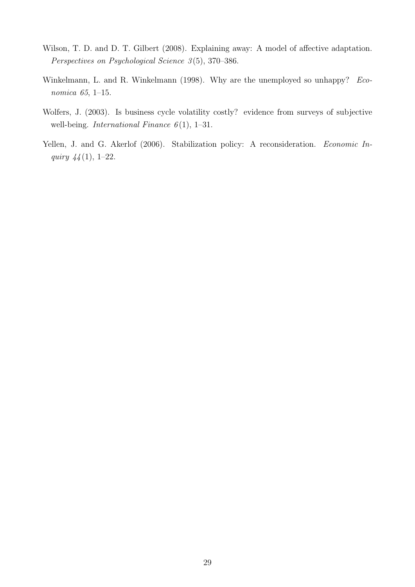- <span id="page-30-3"></span>Wilson, T. D. and D. T. Gilbert (2008). Explaining away: A model of affective adaptation. Perspectives on Psychological Science 3(5), 370–386.
- <span id="page-30-2"></span>Winkelmann, L. and R. Winkelmann (1998). Why are the unemployed so unhappy? Economica 65, 1–15.
- <span id="page-30-0"></span>Wolfers, J. (2003). Is business cycle volatility costly? evidence from surveys of subjective well-being. International Finance  $6(1)$ , 1–31.
- <span id="page-30-1"></span>Yellen, J. and G. Akerlof (2006). Stabilization policy: A reconsideration. Economic Inquiry 44 (1), 1–22.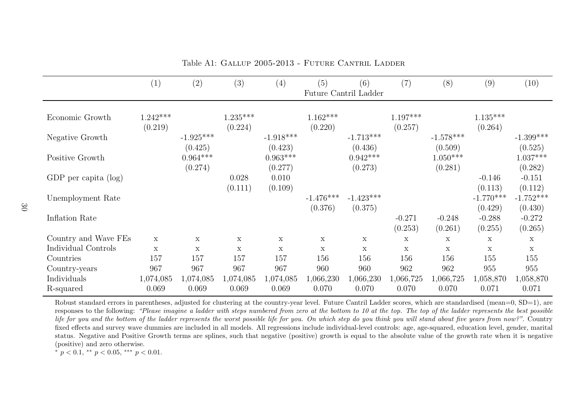|                         | (1)                   | (2)                              | (3)                   | (4)                              | (5)                    | (6)<br>Future Cantril Ladder     | (7)                   | (8)                              | (9)                               | (10)                              |
|-------------------------|-----------------------|----------------------------------|-----------------------|----------------------------------|------------------------|----------------------------------|-----------------------|----------------------------------|-----------------------------------|-----------------------------------|
| Economic Growth         | $1.242***$<br>(0.219) |                                  | $1.235***$<br>(0.224) |                                  | $1.162***$<br>(0.220)  |                                  | $1.197***$<br>(0.257) |                                  | $1.135***$<br>(0.264)             |                                   |
| Negative Growth         |                       | $-1.925***$                      |                       | $-1.918***$                      |                        | $-1.713***$                      |                       | $-1.578***$                      |                                   | $-1.399***$                       |
| Positive Growth         |                       | (0.425)<br>$0.964***$<br>(0.274) |                       | (0.423)<br>$0.963***$<br>(0.277) |                        | (0.436)<br>$0.942***$<br>(0.273) |                       | (0.509)<br>$1.050***$<br>(0.281) |                                   | (0.525)<br>$1.037***$<br>(0.282)  |
| GDP per capita $(\log)$ |                       |                                  | 0.028                 | 0.010                            |                        |                                  |                       |                                  | $-0.146$                          | $-0.151$                          |
| Unemployment Rate       |                       |                                  | (0.111)               | (0.109)                          | $-1.476***$<br>(0.376) | $-1.423***$<br>(0.375)           |                       |                                  | (0.113)<br>$-1.770***$<br>(0.429) | (0.112)<br>$-1.752***$<br>(0.430) |
| Inflation Rate          |                       |                                  |                       |                                  |                        |                                  | $-0.271$<br>(0.253)   | $-0.248$<br>(0.261)              | $-0.288$<br>(0.255)               | $-0.272$<br>(0.265)               |
| Country and Wave FEs    | X                     | $\mathbf X$                      | X                     | $\mathbf X$                      | X                      | $\mathbf X$                      | X                     | X                                | $\boldsymbol{\mathrm{X}}$         | $\mathbf X$                       |
| Individual Controls     | $\mathbf X$           | $\mathbf X$                      | X                     | $\mathbf X$                      | $\mathbf x$            | X                                | $\mathbf x$           | $\mathbf X$                      | $\mathbf X$                       | $\mathbf X$                       |
| Countries               | 157                   | 157                              | 157                   | 157                              | 156                    | 156                              | 156                   | 156                              | 155                               | 155                               |
| Country-years           | 967                   | 967                              | 967                   | 967                              | 960                    | 960                              | 962                   | 962                              | 955                               | 955                               |
| Individuals             | 1,074,085             | 1,074,085                        | 1,074,085             | 1,074,085                        | 1,066,230              | 1,066,230                        | 1,066,725             | 1,066,725                        | 1,058,870                         | 1,058,870                         |
| R-squared               | 0.069                 | 0.069                            | 0.069                 | 0.069                            | 0.070                  | 0.070                            | 0.070                 | 0.070                            | 0.071                             | 0.071                             |

Table A1: Gallup 2005-2013 - Future Cantril Ladder

Robust standard errors in parentheses, adjusted for clustering at the country-year level. Future Cantril Ladder scores, which are standardised (mean=0, SD=1), are responses to the following: "Please imagine a ladder with steps numbered from zero at the bottom to 10 at the top. The top of the ladder represents the best possible life for you and the bottom of the ladder represents the worst possible life for you. On which step do you think you will stand about five years from now?". Country fixed effects and survey wave dummies are included in all models. All regressions include individual-level controls: age, age-squared, education level, gender, marital status. Negative and Positive Growth terms are splines, such that negative (positive) growth is equa<sup>l</sup> to the absolute value of the growth rate when it is negative(positive) and zero otherwise.

<span id="page-31-0"></span>\*  $p < 0.1$ , \*\*  $p < 0.05$ , \*\*\*  $p < 0.01$ .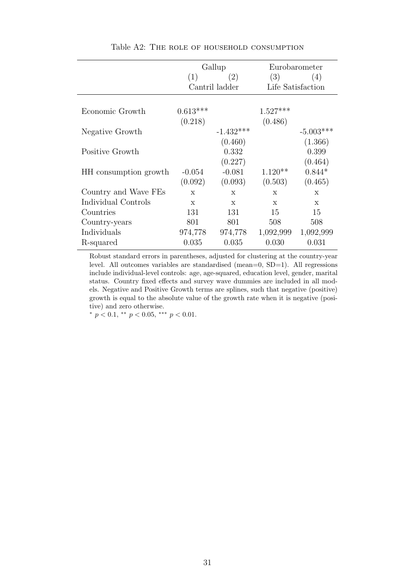<span id="page-32-0"></span>

|                       |              | Gallup         |              | Eurobarometer     |
|-----------------------|--------------|----------------|--------------|-------------------|
|                       | (1)          | (2)            | (3)          | (4)               |
|                       |              | Cantril ladder |              | Life Satisfaction |
|                       |              |                |              |                   |
| Economic Growth       | $0.613***$   |                | $1.527***$   |                   |
|                       | (0.218)      |                | (0.486)      |                   |
| Negative Growth       |              | $-1.432***$    |              | $-5.003***$       |
|                       |              | (0.460)        |              | (1.366)           |
| Positive Growth       |              | 0.332          |              | 0.399             |
|                       |              | (0.227)        |              | (0.464)           |
| HH consumption growth | $-0.054$     | $-0.081$       | $1.120**$    | $0.844*$          |
|                       | (0.092)      | (0.093)        | (0.503)      | (0.465)           |
| Country and Wave FEs  | $\mathbf x$  | X              | $\mathbf{x}$ | $\mathbf{x}$      |
| Individual Controls   | $\mathbf{x}$ | $\mathbf{x}$   | $\mathbf{x}$ | $\mathbf{x}$      |
| Countries             | 131          | 131            | 15           | 15                |
| Country-years         | 801          | 801            | 508          | 508               |
| Individuals           | 974,778      | 974,778        | 1,092,999    | 1,092,999         |
| R-squared             | 0.035        | 0.035          | 0.030        | 0.031             |

Table A2: The role of household consumption

Robust standard errors in parentheses, adjusted for clustering at the country-year level. All outcomes variables are standardised (mean=0, SD=1). All regressions include individual-level controls: age, age-squared, education level, gender, marital status. Country fixed effects and survey wave dummies are included in all models. Negative and Positive Growth terms are splines, such that negative (positive) growth is equal to the absolute value of the growth rate when it is negative (positive) and zero otherwise.

\*  $p < 0.1$ , \*\*  $p < 0.05$ , \*\*\*  $p < 0.01$ .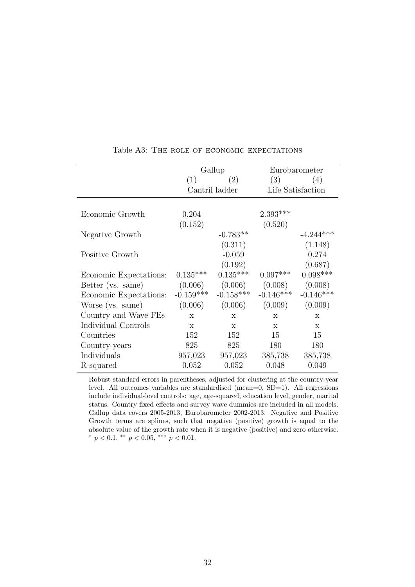<span id="page-33-0"></span>

|                        |              | Gallup          | Eurobarometer     |              |  |  |
|------------------------|--------------|-----------------|-------------------|--------------|--|--|
|                        | (1)          | (2)             | (3)               | (4)          |  |  |
|                        |              | Cantril ladder  | Life Satisfaction |              |  |  |
|                        |              |                 |                   |              |  |  |
| Economic Growth        | 0.204        |                 | $2.393***$        |              |  |  |
|                        | (0.152)      |                 | (0.520)           |              |  |  |
| Negative Growth        |              | $-0.783**$      |                   | $-4.244***$  |  |  |
|                        |              | (0.311)         |                   | (1.148)      |  |  |
| Positive Growth        |              | $-0.059$        |                   | 0.274        |  |  |
|                        |              | (0.192)         |                   | (0.687)      |  |  |
| Economic Expectations: | $0.135***$   | $0.135***$      | $0.097***$        | $0.098***$   |  |  |
| Better (vs. same)      | (0.006)      | (0.006)         | (0.008)           | (0.008)      |  |  |
| Economic Expectations: | $-0.159***$  | $-0.158***$     | $-0.146***$       | $-0.146***$  |  |  |
| Worse (vs. same)       | (0.006)      | (0.006)         | (0.009)           | (0.009)      |  |  |
| Country and Wave FEs   | $\mathbf{x}$ | X               | X                 | X            |  |  |
| Individual Controls    | $\mathbf{x}$ | $\mathbf x$     | $\mathbf x$       | $\mathbf{x}$ |  |  |
| Countries              | 152          | 152             | 15                | 15           |  |  |
| Country-years          | 825          | 825             | 180               | 180          |  |  |
| Individuals            |              | 957,023 957,023 | 385,738           | 385,738      |  |  |
| R-squared              | 0.052        | 0.052           | 0.048             | 0.049        |  |  |

#### Table A3: THE ROLE OF ECONOMIC EXPECTATIONS

Robust standard errors in parentheses, adjusted for clustering at the country-year level. All outcomes variables are standardised (mean=0, SD=1). All regressions include individual-level controls: age, age-squared, education level, gender, marital status. Country fixed effects and survey wave dummies are included in all models. Gallup data covers 2005-2013, Eurobarometer 2002-2013. Negative and Positive Growth terms are splines, such that negative (positive) growth is equal to the absolute value of the growth rate when it is negative (positive) and zero otherwise. \*  $p < 0.1$ , \*\*  $p < 0.05$ , \*\*\*  $p < 0.01$ .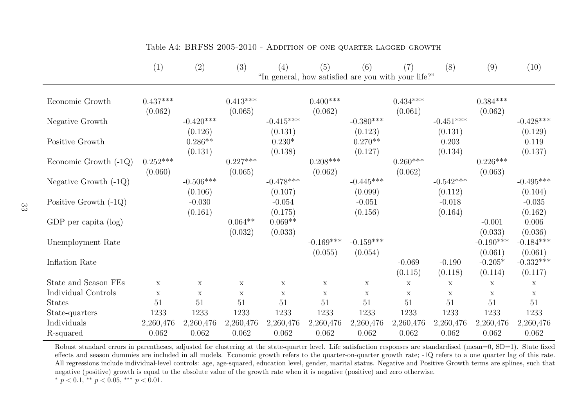|                         | (1)                                                 | (2)                    | (3)                   | (4)                    | (5)                    | (6)                    | (7)                   | (8)                    | (9)                    | (10)                   |  |
|-------------------------|-----------------------------------------------------|------------------------|-----------------------|------------------------|------------------------|------------------------|-----------------------|------------------------|------------------------|------------------------|--|
|                         | "In general, how satisfied are you with your life?" |                        |                       |                        |                        |                        |                       |                        |                        |                        |  |
| Economic Growth         | $0.437***$<br>(0.062)                               |                        | $0.413***$<br>(0.065) |                        | $0.400***$<br>(0.062)  |                        | $0.434***$<br>(0.061) |                        | $0.384***$<br>(0.062)  |                        |  |
| Negative Growth         |                                                     | $-0.420***$<br>(0.126) |                       | $-0.415***$<br>(0.131) |                        | $-0.380***$<br>(0.123) |                       | $-0.451***$<br>(0.131) |                        | $-0.428***$<br>(0.129) |  |
| Positive Growth         |                                                     | $0.286**$<br>(0.131)   |                       | $0.230*$<br>(0.138)    |                        | $0.270**$<br>(0.127)   |                       | 0.203<br>(0.134)       |                        | 0.119<br>(0.137)       |  |
| Economic Growth $(-1Q)$ | $0.252***$<br>(0.060)                               |                        | $0.227***$<br>(0.065) |                        | $0.208***$<br>(0.062)  |                        | $0.260***$<br>(0.062) |                        | $0.226***$<br>(0.063)  |                        |  |
| Negative Growth $(-1Q)$ |                                                     | $-0.506***$<br>(0.106) |                       | $-0.478***$<br>(0.107) |                        | $-0.445***$<br>(0.099) |                       | $-0.542***$<br>(0.112) |                        | $-0.495***$<br>(0.104) |  |
| Positive Growth $(-1Q)$ |                                                     | $-0.030$<br>(0.161)    |                       | $-0.054$<br>(0.175)    |                        | $-0.051$<br>(0.156)    |                       | $-0.018$<br>(0.164)    |                        | $-0.035$<br>(0.162)    |  |
| GDP per capita $(\log)$ |                                                     |                        | $0.064**$<br>(0.032)  | $0.069**$<br>(0.033)   |                        |                        |                       |                        | $-0.001$<br>(0.033)    | 0.006<br>(0.036)       |  |
| Unemployment Rate       |                                                     |                        |                       |                        | $-0.169***$<br>(0.055) | $-0.159***$<br>(0.054) |                       |                        | $-0.190***$<br>(0.061) | $-0.184***$<br>(0.061) |  |
| Inflation Rate          |                                                     |                        |                       |                        |                        |                        | $-0.069$<br>(0.115)   | $-0.190$<br>(0.118)    | $-0.205*$<br>(0.114)   | $-0.332***$<br>(0.117) |  |
| State and Season FEs    | $\mathbf x$                                         | $\mathbf X$            | $\mathbf X$           | X                      | X                      | $\mathbf X$            | $\mathbf X$           | $\mathbf X$            | $\mathbf X$            | $\mathbf X$            |  |
| Individual Controls     | $\mathbf x$                                         | $\mathbf x$            | X                     | $\mathbf x$            | X                      | $\mathbf x$            | X                     | $\mathbf x$            | $\mathbf X$            | $\mathbf x$            |  |
| <b>States</b>           | 51                                                  | 51                     | 51                    | 51                     | 51                     | 51                     | 51                    | 51                     | 51                     | 51                     |  |
| State-quarters          | 1233                                                | 1233                   | 1233                  | 1233                   | 1233                   | 1233                   | 1233                  | 1233                   | 1233                   | 1233                   |  |
| Individuals             | 2,260,476                                           | 2,260,476              | 2,260,476             | 2,260,476              | 2,260,476              | 2,260,476              | 2,260,476             | 2,260,476              | 2,260,476              | 2,260,476              |  |
| R-squared               | 0.062                                               | 0.062                  | 0.062                 | 0.062                  | 0.062                  | 0.062                  | 0.062                 | 0.062                  | 0.062                  | 0.062                  |  |

<span id="page-34-0"></span>Table A4: BRFSS 2005-2010 - Addition of one quarter lagged growth

Robust standard errors in parentheses, adjusted for clustering at the state-quarter level. Life satisfaction responses are standardised (mean=0, SD=1). State fixed effects and season dummies are included in all models. Economic growth refers to the quarter-on-quarter growth rate; -1Q refers to <sup>a</sup> one quarter lag of this rate. All regressions include individual-level controls: age, age-squared, education level, gender, marital status. Negative and Positive Growth terms are splines, such thatnegative (positive) growth is equa<sup>l</sup> to the absolute value of the growth rate when it is negative (positive) and zero otherwise.\*  $p < 0.1$ , \*\*  $p < 0.05$ , \*\*\*  $p < 0.01$ .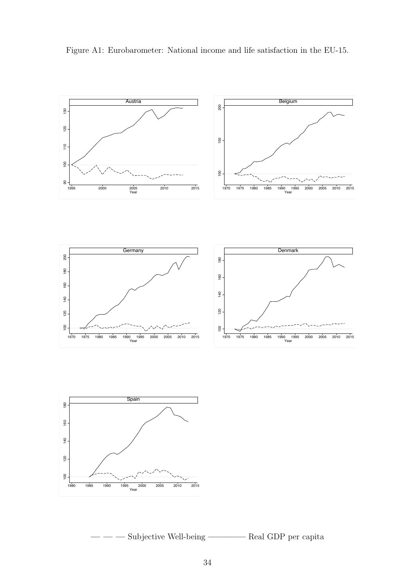<span id="page-35-0"></span>

Figure A1: Eurobarometer: National income and life satisfaction in the EU-15.

- — Subjective Well-being ———— Real GDP per capita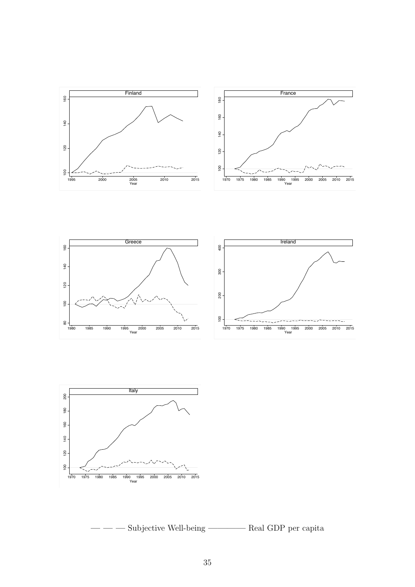



Subjective Well-being ————————— Real GDP per capita